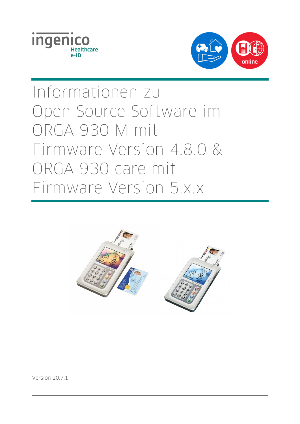



# Informationen zu Open Source Software im ORGA 930 M mit Firmware Version 4.8.0 & ORGA 930 care mit Firmware Version 5.x.x



Version 20.7.1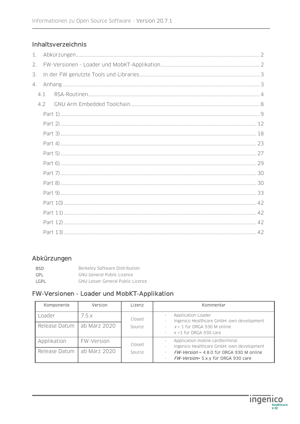# Inhaltsverzeichnis

| 1. |     |  |  |  |  |  |  |  |
|----|-----|--|--|--|--|--|--|--|
| 2. |     |  |  |  |  |  |  |  |
| 3. |     |  |  |  |  |  |  |  |
| 4. |     |  |  |  |  |  |  |  |
|    | 4.1 |  |  |  |  |  |  |  |
|    | 4.2 |  |  |  |  |  |  |  |
|    |     |  |  |  |  |  |  |  |
|    |     |  |  |  |  |  |  |  |
|    |     |  |  |  |  |  |  |  |
|    |     |  |  |  |  |  |  |  |
|    |     |  |  |  |  |  |  |  |
|    |     |  |  |  |  |  |  |  |
|    |     |  |  |  |  |  |  |  |
|    |     |  |  |  |  |  |  |  |
|    |     |  |  |  |  |  |  |  |
|    |     |  |  |  |  |  |  |  |
|    |     |  |  |  |  |  |  |  |
|    |     |  |  |  |  |  |  |  |
|    |     |  |  |  |  |  |  |  |
|    |     |  |  |  |  |  |  |  |

# Abkürzungen

| <b>BSD</b>  | Berkeley Software Distribution           |
|-------------|------------------------------------------|
| GPL         | <b>GNU General Public Licence</b>        |
| <b>LGPL</b> | <b>GNU Lesser General Public Licence</b> |

# FW-Versionen - Loader und MobKT-Applikation

| Komponente    | Version      | Lizenz                                    | Kommentar                                                                       |
|---------------|--------------|-------------------------------------------|---------------------------------------------------------------------------------|
| Loader        | 7.5 x        | Closed                                    | Application Loader<br>Ingenico Healthcare GmbH: own development                 |
| Release Datum | ab März 2020 | Source                                    | $x = 1$ für ORGA 930 M online<br>$\sim$<br>x >1 für ORGA 930 care               |
| Applikation   | FW-Version   | Application mobile cardterminal<br>Closed | Ingenico Healthcare GmbH: own development                                       |
| Release Datum | ab März 2020 | Source                                    | FW-Version = 4.8.0 für ORGA 930 M online<br>FW-Version= 5.x.y für ORGA 930 care |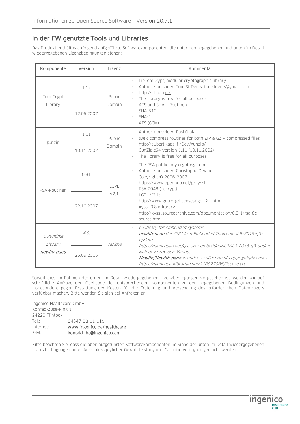# In der FW genutzte Tools und Libraries

Das Produkt enthält nachfolgend aufgeführte Softwarekomponenten, die unter den angegebenen und unten im Detail wiedergegebenen Lizenzbedingungen stehen:

| Komponente           | Version    | Lizenz           | Kommentar                                                                                                                                                                                                                                                                                                                                             |  |  |
|----------------------|------------|------------------|-------------------------------------------------------------------------------------------------------------------------------------------------------------------------------------------------------------------------------------------------------------------------------------------------------------------------------------------------------|--|--|
| Tom Crypt            | 1.17       | Public<br>Domain | LibTomCrypt, modular cryptographic library<br>$\frac{1}{2}$<br>Author / provider: Tom St Denis, tomstdenis@gmail.com<br>L,<br>http://libtom.net<br>The library is free for all purposes<br>$\overline{\phantom{a}}$<br>AES und SHA - Routinen<br>$\overline{\phantom{a}}$<br>SHA-512<br>$\overline{\phantom{a}}$<br>$SHA-1$<br>AES (GCM)              |  |  |
| Library              | 12.05.2007 |                  |                                                                                                                                                                                                                                                                                                                                                       |  |  |
| gunzip               | 1.11       | Public<br>Domain | Author / provider: Pasi Ojala<br>$\overline{\phantom{a}}$<br>(De-) compress routines for both ZIP & GZIP compressed files<br>$\overline{\phantom{a}}$<br>http://a1bert.kapsi.fi/Dev/gunzip/<br>$\overline{\phantom{a}}$<br>GunZip.c64 version 1.11 (10.11.2002)<br>$\overline{\phantom{a}}$<br>The library is free for all purposes<br>$\overline{a}$ |  |  |
|                      | 10.11.2002 |                  |                                                                                                                                                                                                                                                                                                                                                       |  |  |
| RSA-Routinen         | 0.81       | LGPL<br>V2.1     | The RSA public-key cryptosystem<br>i,<br>Author / provider: Christophe Devine<br>$\bar{a}$<br>Copyright © 2006-2007<br>$\overline{\phantom{a}}$<br>https://www.openhub.net/p/xyssl<br>$\blacksquare$<br>RSA 2048 (decrypt)<br>$\overline{\phantom{a}}$                                                                                                |  |  |
|                      | 22.10.2007 |                  | <b>LGPL V2.1:</b><br>L,<br>http://www.gnu.org/licenses/lgpl-2.1.html<br>xyssl-0.8 $\ge$ library<br>$\overline{\phantom{a}}$<br>http://xyssl.sourcearchive.com/documentation/0.8-1/rsa_8c-<br>source.html                                                                                                                                              |  |  |
| C Runtime<br>Library | 4.9.       | Various          | C Library for embedded systems<br>newlib-nano der GNU Arm Embedded Toolchain 4.9-2015-g3-<br>update                                                                                                                                                                                                                                                   |  |  |
| newlib-nano          | 25.09.2015 |                  | https://launchpad.net/gcc-arm-embedded/4.9/4.9-2015-q3-update<br>Author / provider: Various<br>Newlib/Newlib-nano is under a collection of copyrights/licenses:<br>https://launchpadlibrarian.net/218827086/license.txt                                                                                                                               |  |  |

Soweit dies im Rahmen der unten im Detail wiedergegebenen Lizenzbedingungen vorgesehen ist, werden wir auf schriftliche Anfrage den Quellcode der entsprechenden Komponenten zu den angegebenen Bedingungen und insbesondere gegen Erstattung der Kosten für die Erstellung und Versendung des erforderlichen Datenträgers verfügbar machen. Bitte wenden Sie sich bei Anfragen an:

Ingenico Healthcare GmbH Konrad-Zuse-Ring 1 24220 Flintbek Tel.: 04347 90 11 111 Internet: www.ingenico.de/healthcare E-Mail: kontakt.ihc@ingenico.com

Bitte beachten Sie, dass die oben aufgeführten Softwarekomponenten im Sinne der unten im Detail wiedergegebenen Lizenzbedingungen unter Ausschluss jeglicher Gewährleistung und Garantie verfügbar gemacht werden.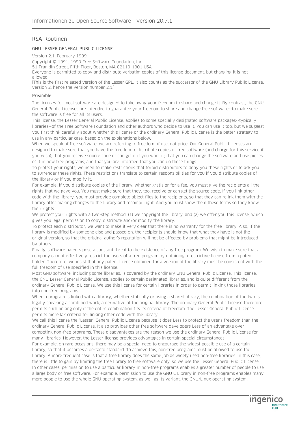# RSA-Routinen

#### GNU LESSER GENERAL PUBLIC LICENSE

Version 2.1, February 1999

Copyright © 1991, 1999 Free Software Foundation, Inc.

51 Franklin Street, Fifth Floor, Boston, MA 02110-1301 USA

Everyone is permitted to copy and distribute verbatim copies of this license document, but changing it is not allowed.

[This is the first released version of the Lesser GPL. It also counts as the successor of the GNU Library Public License, version 2, hence the version number 2.1.]

#### Preamble

The licenses for most software are designed to take away your freedom to share and change it. By contrast, the GNU General Public Licenses are intended to guarantee your freedom to share and change free software--to make sure the software is free for all its users.

This license, the Lesser General Public License, applies to some specially designated software packages--typically libraries--of the Free Software Foundation and other authors who decide to use it. You can use it too, but we suggest you first think carefully about whether this license or the ordinary General Public License is the better strategy to use in any particular case, based on the explanations below.

When we speak of free software, we are referring to freedom of use, not price. Our General Public Licenses are designed to make sure that you have the freedom to distribute copies of free software (and charge for this service if you wish); that you receive source code or can get it if you want it; that you can change the software and use pieces of it in new free programs; and that you are informed that you can do these things.

To protect your rights, we need to make restrictions that forbid distributors to deny you these rights or to ask you to surrender these rights. These restrictions translate to certain responsibilities for you if you distribute copies of the library or if you modify it.

For example, if you distribute copies of the library, whether gratis or for a fee, you must give the recipients all the rights that we gave you. You must make sure that they, too, receive or can get the source code. If you link other code with the library, you must provide complete object files to the recipients, so that they can relink them with the library after making changes to the library and recompiling it. And you must show them these terms so they know their rights.

We protect your rights with a two-step method: (1) we copyright the library, and (2) we offer you this license, which gives you legal permission to copy, distribute and/or modify the library.

To protect each distributor, we want to make it very clear that there is no warranty for the free library. Also, if the library is modified by someone else and passed on, the recipients should know that what they have is not the original version, so that the original author's reputation will not be affected by problems that might be introduced by others.

Finally, software patents pose a constant threat to the existence of any free program. We wish to make sure that a company cannot effectively restrict the users of a free program by obtaining a restrictive license from a patent holder. Therefore, we insist that any patent license obtained for a version of the library must be consistent with the full freedom of use specified in this license.

Most GNU software, including some libraries, is covered by the ordinary GNU General Public License. This license, the GNU Lesser General Public License, applies to certain designated libraries, and is quite different from the ordinary General Public License. We use this license for certain libraries in order to permit linking those libraries into non-free programs.

When a program is linked with a library, whether statically or using a shared library, the combination of the two is legally speaking a combined work, a derivative of the original library. The ordinary General Public License therefore permits such linking only if the entire combination fits its criteria of freedom. The Lesser General Public License permits more lax criteria for linking other code with the library.

We call this license the "Lesser" General Public License because it does Less to protect the user's freedom than the ordinary General Public License. It also provides other free software developers Less of an advantage over competing non-free programs. These disadvantages are the reason we use the ordinary General Public License for many libraries. However, the Lesser license provides advantages in certain special circumstances.

For example, on rare occasions, there may be a special need to encourage the widest possible use of a certain library, so that it becomes a de-facto standard. To achieve this, non-free programs must be allowed to use the library. A more frequent case is that a free library does the same job as widely used non-free libraries. In this case, there is little to gain by limiting the free library to free software only, so we use the Lesser General Public License. In other cases, permission to use a particular library in non-free programs enables a greater number of people to use a large body of free software. For example, permission to use the GNU C Library in non-free programs enables many more people to use the whole GNU operating system, as well as its variant, the GNU/Linux operating system.

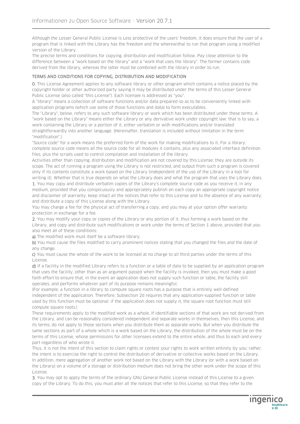Although the Lesser General Public License is Less protective of the users' freedom, it does ensure that the user of a program that is linked with the Library has the freedom and the wherewithal to run that program using a modified version of the Library.

The precise terms and conditions for copying, distribution and modification follow. Pay close attention to the difference between a "work based on the library" and a "work that uses the library". The former contains code derived from the library, whereas the latter must be combined with the library in order to run.

#### TERMS AND CONDITIONS FOR COPYING, DISTRIBUTION AND MODIFICATION

0. This License Agreement applies to any software library or other program which contains a notice placed by the copyright holder or other authorized party saying it may be distributed under the terms of this Lesser General Public License (also called "this License"). Each licensee is addressed as "you".

A "library" means a collection of software functions and/or data prepared so as to be conveniently linked with application programs (which use some of those functions and data) to form executables.

The "Library", below, refers to any such software library or work which has been distributed under these terms. A "work based on the Library" means either the Library or any derivative work under copyright law: that is to say, a work containing the Library or a portion of it, either verbatim or with modifications and/or translated straightforwardly into another language. (Hereinafter, translation is included without limitation in the term "modification".)

"Source code" for a work means the preferred form of the work for making modifications to it. For a library, complete source code means all the source code for all modules it contains, plus any associated interface definition files, plus the scripts used to control compilation and installation of the library.

Activities other than copying, distribution and modification are not covered by this License; they are outside its scope. The act of running a program using the Library is not restricted, and output from such a program is covered only if its contents constitute a work based on the Library (independent of the use of the Library in a tool for writing it). Whether that is true depends on what the Library does and what the program that uses the Library does.

1. You may copy and distribute verbatim copies of the Library's complete source code as you receive it, in any medium, provided that you conspicuously and appropriately publish on each copy an appropriate copyright notice and disclaimer of warranty; keep intact all the notices that refer to this License and to the absence of any warranty; and distribute a copy of this License along with the Library.

You may charge a fee for the physical act of transferring a copy, and you may at your option offer warranty protection in exchange for a fee.

2. You may modify your copy or copies of the Library or any portion of it, thus forming a work based on the Library, and copy and distribute such modifications or work under the terms of Section 1 above, provided that you also meet all of these conditions:

a) The modified work must itself be a software library.

b) You must cause the files modified to carry prominent notices stating that you changed the files and the date of any change.

c) You must cause the whole of the work to be licensed at no charge to all third parties under the terms of this License.

d) If a facility in the modified Library refers to a function or a table of data to be supplied by an application program that uses the facility, other than as an argument passed when the facility is invoked, then you must make a good faith effort to ensure that, in the event an application does not supply such function or table, the facility still operates, and performs whatever part of its purpose remains meaningful.

(For example, a function in a library to compute square roots has a purpose that is entirely well-defined independent of the application. Therefore, Subsection 2d requires that any application-supplied function or table used by this function must be optional: if the application does not supply it, the square root function must still compute square roots.)

These requirements apply to the modified work as a whole. If identifiable sections of that work are not derived from the Library, and can be reasonably considered independent and separate works in themselves, then this License, and its terms, do not apply to those sections when you distribute them as separate works. But when you distribute the same sections as part of a whole which is a work based on the Library, the distribution of the whole must be on the terms of this License, whose permissions for other licensees extend to the entire whole, and thus to each and every part regardless of who wrote it.

Thus, it is not the intent of this section to claim rights or contest your rights to work written entirely by you; rather, the intent is to exercise the right to control the distribution of derivative or collective works based on the Library. In addition, mere aggregation of another work not based on the Library with the Library (or with a work based on the Library) on a volume of a storage or distribution medium does not bring the other work under the scope of this License.

3. You may opt to apply the terms of the ordinary GNU General Public License instead of this License to a given copy of the Library. To do this, you must alter all the notices that refer to this License, so that they refer to the

**Ingenic**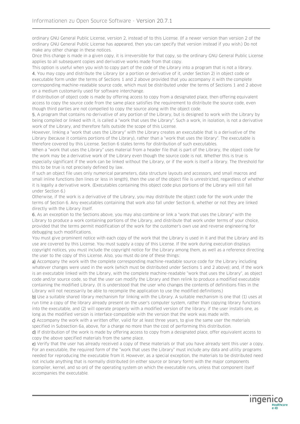ordinary GNU General Public License, version 2, instead of to this License. (If a newer version than version 2 of the ordinary GNU General Public License has appeared, then you can specify that version instead if you wish.) Do not make any other change in these notices.

Once this change is made in a given copy, it is irreversible for that copy, so the ordinary GNU General Public License applies to all subsequent copies and derivative works made from that copy.

This option is useful when you wish to copy part of the code of the Library into a program that is not a library. 4. You may copy and distribute the Library (or a portion or derivative of it, under Section 2) in object code or executable form under the terms of Sections 1 and 2 above provided that you accompany it with the complete corresponding machine-readable source code, which must be distributed under the terms of Sections 1 and 2 above on a medium customarily used for software interchange.

If distribution of object code is made by offering access to copy from a designated place, then offering equivalent access to copy the source code from the same place satisfies the requirement to distribute the source code, even though third parties are not compelled to copy the source along with the object code.

5. A program that contains no derivative of any portion of the Library, but is designed to work with the Library by being compiled or linked with it, is called a "work that uses the Library". Such a work, in isolation, is not a derivative work of the Library, and therefore falls outside the scope of this License.

However, linking a "work that uses the Library" with the Library creates an executable that is a derivative of the Library (because it contains portions of the Library), rather than a "work that uses the library". The executable is therefore covered by this License. Section 6 states terms for distribution of such executables.

When a "work that uses the Library" uses material from a header file that is part of the Library, the object code for the work may be a derivative work of the Library even though the source code is not. Whether this is true is especially significant if the work can be linked without the Library, or if the work is itself a library. The threshold for this to be true is not precisely defined by law.

If such an object file uses only numerical parameters, data structure layouts and accessors, and small macros and small inline functions (ten lines or less in length), then the use of the object file is unrestricted, regardless of whether it is legally a derivative work. (Executables containing this object code plus portions of the Library will still fall under Section 6.)

Otherwise, if the work is a derivative of the Library, you may distribute the object code for the work under the terms of Section 6. Any executables containing that work also fall under Section 6, whether or not they are linked directly with the Library itself.

6. As an exception to the Sections above, you may also combine or link a "work that uses the Library" with the Library to produce a work containing portions of the Library, and distribute that work under terms of your choice, provided that the terms permit modification of the work for the customer's own use and reverse engineering for debugging such modifications.

You must give prominent notice with each copy of the work that the Library is used in it and that the Library and its use are covered by this License. You must supply a copy of this License. If the work during execution displays copyright notices, you must include the copyright notice for the Library among them, as well as a reference directing the user to the copy of this License. Also, you must do one of these things:

a) Accompany the work with the complete corresponding machine-readable source code for the Library including whatever changes were used in the work (which must be distributed under Sections 1 and 2 above); and, if the work is an executable linked with the Library, with the complete machine-readable "work that uses the Library", as object code and/or source code, so that the user can modify the Library and then relink to produce a modified executable containing the modified Library. (It is understood that the user who changes the contents of definitions files in the Library will not necessarily be able to recompile the application to use the modified definitions.)

b) Use a suitable shared library mechanism for linking with the Library. A suitable mechanism is one that (1) uses at run time a copy of the library already present on the user's computer system, rather than copying library functions into the executable, and (2) will operate properly with a modified version of the library, if the user installs one, as long as the modified version is interface-compatible with the version that the work was made with.

c) Accompany the work with a written offer, valid for at least three years, to give the same user the materials specified in Subsection 6a, above, for a charge no more than the cost of performing this distribution.

d) If distribution of the work is made by offering access to copy from a designated place, offer equivalent access to copy the above specified materials from the same place.

e) Verify that the user has already received a copy of these materials or that you have already sent this user a copy. For an executable, the required form of the "work that uses the Library" must include any data and utility programs needed for reproducing the executable from it. However, as a special exception, the materials to be distributed need not include anything that is normally distributed (in either source or binary form) with the major components (compiler, kernel, and so on) of the operating system on which the executable runs, unless that component itself accompanies the executable.

ingenico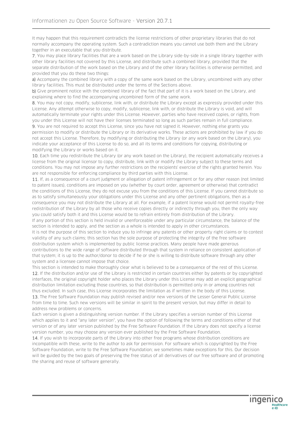It may happen that this requirement contradicts the license restrictions of other proprietary libraries that do not normally accompany the operating system. Such a contradiction means you cannot use both them and the Library together in an executable that you distribute.

7. You may place library facilities that are a work based on the Library side-by-side in a single library together with other library facilities not covered by this License, and distribute such a combined library, provided that the separate distribution of the work based on the Library and of the other library facilities is otherwise permitted, and provided that you do these two things:

a) Accompany the combined library with a copy of the same work based on the Library, uncombined with any other library facilities. This must be distributed under the terms of the Sections above.

b) Give prominent notice with the combined library of the fact that part of it is a work based on the Library, and explaining where to find the accompanying uncombined form of the same work.

8. You may not copy, modify, sublicense, link with, or distribute the Library except as expressly provided under this License. Any attempt otherwise to copy, modify, sublicense, link with, or distribute the Library is void, and will automatically terminate your rights under this License. However, parties who have received copies, or rights, from you under this License will not have their licenses terminated so long as such parties remain in full compliance.

9. You are not required to accept this License, since you have not signed it. However, nothing else grants you permission to modify or distribute the Library or its derivative works. These actions are prohibited by law if you do not accept this License. Therefore, by modifying or distributing the Library (or any work based on the Library), you indicate your acceptance of this License to do so, and all its terms and conditions for copying, distributing or modifying the Library or works based on it.

10. Each time you redistribute the Library (or any work based on the Library), the recipient automatically receives a license from the original licensor to copy, distribute, link with or modify the Library subject to these terms and conditions. You may not impose any further restrictions on the recipients' exercise of the rights granted herein. You are not responsible for enforcing compliance by third parties with this License.

11. If, as a consequence of a court judgment or allegation of patent infringement or for any other reason (not limited to patent issues), conditions are imposed on you (whether by court order, agreement or otherwise) that contradict the conditions of this License, they do not excuse you from the conditions of this License. If you cannot distribute so as to satisfy simultaneously your obligations under this License and any other pertinent obligations, then as a consequence you may not distribute the Library at all. For example, if a patent license would not permit royalty-free redistribution of the Library by all those who receive copies directly or indirectly through you, then the only way you could satisfy both it and this License would be to refrain entirely from distribution of the Library. If any portion of this section is held invalid or unenforceable under any particular circumstance, the balance of the section is intended to apply, and the section as a whole is intended to apply in other circumstances. It is not the purpose of this section to induce you to infringe any patents or other property right claims or to contest validity of any such claims; this section has the sole purpose of protecting the integrity of the free software distribution system which is implemented by public license practices. Many people have made generous contributions to the wide range of software distributed through that system in reliance on consistent application of

that system; it is up to the author/donor to decide if he or she is willing to distribute software through any other system and a licensee cannot impose that choice.

This section is intended to make thoroughly clear what is believed to be a consequence of the rest of this License. 12. If the distribution and/or use of the Library is restricted in certain countries either by patents or by copyrighted interfaces, the original copyright holder who places the Library under this License may add an explicit geographical distribution limitation excluding those countries, so that distribution is permitted only in or among countries not thus excluded. In such case, this License incorporates the limitation as if written in the body of this License.

13. The Free Software Foundation may publish revised and/or new versions of the Lesser General Public License from time to time. Such new versions will be similar in spirit to the present version, but may differ in detail to address new problems or concerns.

Each version is given a distinguishing version number. If the Library specifies a version number of this License which applies to it and "any later version", you have the option of following the terms and conditions either of that version or of any later version published by the Free Software Foundation. If the Library does not specify a license version number, you may choose any version ever published by the Free Software Foundation.

14. If you wish to incorporate parts of the Library into other free programs whose distribution conditions are incompatible with these, write to the author to ask for permission. For software which is copyrighted by the Free Software Foundation, write to the Free Software Foundation; we sometimes make exceptions for this. Our decision will be guided by the two goals of preserving the free status of all derivatives of our free software and of promoting the sharing and reuse of software generally.

ingenico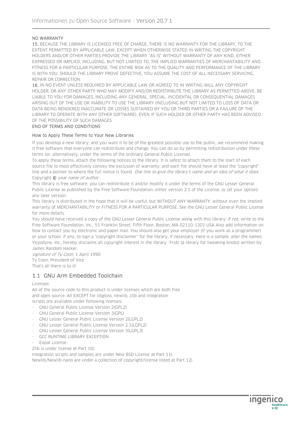#### NO WARRANTY

15. BECAUSE THE LIBRARY IS LICENSED FREE OF CHARGE, THERE IS NO WARRANTY FOR THE LIBRARY, TO THE EXTENT PERMITTED BY APPLICABLE LAW. EXCEPT WHEN OTHERWISE STATED IN WRITING THE COPYRIGHT HOLDERS AND/OR OTHER PARTIES PROVIDE THE LIBRARY "AS IS" WITHOUT WARRANTY OF ANY KIND, EITHER EXPRESSED OR IMPLIED, INCLUDING, BUT NOT LIMITED TO, THE IMPLIED WARRANTIES OF MERCHANTABILITY AND FITNESS FOR A PARTICULAR PURPOSE. THE ENTIRE RISK AS TO THE QUALITY AND PERFORMANCE OF THE LIBRARY IS WITH YOU. SHOULD THE LIBRARY PROVE DEFECTIVE, YOU ASSUME THE COST OF ALL NECESSARY SERVICING, REPAIR OR CORRECTION.

16. IN NO EVENT UNLESS REQUIRED BY APPLICABLE LAW OR AGREED TO IN WRITING WILL ANY COPYRIGHT HOLDER, OR ANY OTHER PARTY WHO MAY MODIFY AND/OR REDISTRIBUTE THE LIBRARY AS PERMITTED ABOVE, BE LIABLE TO YOU FOR DAMAGES, INCLUDING ANY GENERAL, SPECIAL, INCIDENTAL OR CONSEQUENTIAL DAMAGES ARISING OUT OF THE USE OR INABILITY TO USE THE LIBRARY (INCLUDING BUT NOT LIMITED TO LOSS OF DATA OR DATA BEING RENDERED INACCURATE OR LOSSES SUSTAINED BY YOU OR THIRD PARTIES OR A FAILURE OF THE LIBRARY TO OPERATE WITH ANY OTHER SOFTWARE), EVEN IF SUCH HOLDER OR OTHER PARTY HAS BEEN ADVISED OF THE POSSIBILITY OF SUCH DAMAGES.

#### END OF TERMS AND CONDITIONS

#### How to Apply These Terms to Your New Libraries

If you develop a new library, and you want it to be of the greatest possible use to the public, we recommend making it free software that everyone can redistribute and change. You can do so by permitting redistribution under these terms (or, alternatively, under the terms of the ordinary General Public License).

To apply these terms, attach the following notices to the library. It is safest to attach them to the start of each source file to most effectively convey the exclusion of warranty; and each file should have at least the "copyright" line and a pointer to where the full notice is found. One line to give the library's name and an idea of what it does. Copyright © year name of author

This library is free software; you can redistribute it and/or modify it under the terms of the GNU Lesser General Public License as published by the Free Software Foundation; either version 2.1 of the License, or (at your option) any later version.

This library is distributed in the hope that it will be useful, but WITHOUT ANY WARRANTY; without even the implied warranty of MERCHANTABILITY or FITNESS FOR A PARTICULAR PURPOSE. See the GNU Lesser General Public License for more details.

You should have received a copy of the GNU Lesser General Public License along with this library; if not, write to the Free Software Foundation, Inc., 51 Franklin Street, Fifth Floor, Boston, MA 02110-1301 USA Also add information on how to contact you by electronic and paper mail. You should also get your employer (if you work as a programmer) or your school, if any, to sign a "copyright disclaimer" for the library, if necessary. Here is a sample; alter the names: Yoyodyne, Inc., hereby disclaims all copyright interest in the library `Frob' (a library for tweaking knobs) written by James Random Hacker.

signature of Ty Coon, 1 April 1990 Ty Coon, President of Vice That's all there is to it!

# 1.1 GNU Arm Embedded Toolchain

Licenses:

All of the source code to this product is under licenses which are both free and open source. All EXCEPT for libgloss, newlib, zlib and integration scripts are available under following licenses:

- GNU General Public License Version 2(GPL2)
- GNU General Public License Version 3(GPL)
- GNU Lesser General Public License Version 2(LGPL2)
- GNU Lesser General Public License Version 2.1(LGPL2)
- GNU Lesser General Public License Version 3(LGPL3)
- GCC RUNTIME LIBRARY EXCEPTION
- Expat License

Zlib is under license at Part 10).

Integration scripts and samples are under New BSD License at Part 11).

Newlib/Newlib-nano are under a collection of copyright/license listed at Part 12).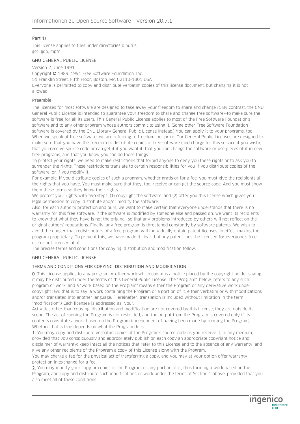## Part 1)

This license applies to files under directories binutils, gcc, gdb, mpfr

#### GNU GENERAL PUBLIC LICENSE

Version 2, June 1991

Copyright © 1989, 1991 Free Software Foundation, Inc. 51 Franklin Street, Fifth Floor, Boston, MA 02110-1301 USA Everyone is permitted to copy and distribute verbatim copies of this license document, but changing it is not allowed.

#### Preamble

The licenses for most software are designed to take away your freedom to share and change it. By contrast, the GNU General Public License is intended to guarantee your freedom to share and change free software--to make sure the software is free for all its users. This General Public License applies to most of the Free Software Foundation's software and to any other program whose authors commit to using it. (Some other Free Software Foundation software is covered by the GNU Library General Public License instead.) You can apply it to your programs, too. When we speak of free software, we are referring to freedom, not price. Our General Public Licenses are designed to make sure that you have the freedom to distribute copies of free software (and charge for this service if you wish), that you receive source code or can get it if you want it, that you can change the software or use pieces of it in new free programs; and that you know you can do these things.

To protect your rights, we need to make restrictions that forbid anyone to deny you these rights or to ask you to surrender the rights. These restrictions translate to certain responsibilities for you if you distribute copies of the software, or if you modify it.

For example, if you distribute copies of such a program, whether gratis or for a fee, you must give the recipients all the rights that you have. You must make sure that they, too, receive or can get the source code. And you must show them these terms so they know their rights.

We protect your rights with two steps: (1) copyright the software, and (2) offer you this license which gives you legal permission to copy, distribute and/or modify the software.

Also, for each author's protection and ours, we want to make certain that everyone understands that there is no warranty for this free software. If the software is modified by someone else and passed on, we want its recipients to know that what they have is not the original, so that any problems introduced by others will not reflect on the original authors' reputations. Finally, any free program is threatened constantly by software patents. We wish to avoid the danger that redistributors of a free program will individually obtain patent licenses, in effect making the program proprietary. To prevent this, we have made it clear that any patent must be licensed for everyone's free use or not licensed at all.

The precise terms and conditions for copying, distribution and modification follow.

#### GNU GENERAL PUBLIC LICENSE

#### TERMS AND CONDITIONS FOR COPYING, DISTRIBUTION AND MODIFICATION

0. This License applies to any program or other work which contains a notice placed by the copyright holder saying it may be distributed under the terms of this General Public License. The "Program", below, refers to any such program or work, and a "work based on the Program" means either the Program or any derivative work under copyright law: that is to say, a work containing the Program or a portion of it, either verbatim or with modifications and/or translated into another language. (Hereinafter, translation is included without limitation in the term "modification".) Each licensee is addressed as "you".

Activities other than copying, distribution and modification are not covered by this License; they are outside its scope. The act of running the Program is not restricted, and the output from the Program is covered only if its contents constitute a work based on the Program (independent of having been made by running the Program). Whether that is true depends on what the Program does.

1. You may copy and distribute verbatim copies of the Program's source code as you receive it, in any medium, provided that you conspicuously and appropriately publish on each copy an appropriate copyright notice and disclaimer of warranty; keep intact all the notices that refer to this License and to the absence of any warranty; and give any other recipients of the Program a copy of this License along with the Program.

You may charge a fee for the physical act of transferring a copy, and you may at your option offer warranty protection in exchange for a fee.

2. You may modify your copy or copies of the Program or any portion of it, thus forming a work based on the Program, and copy and distribute such modifications or work under the terms of Section 1 above, provided that you also meet all of these conditions:

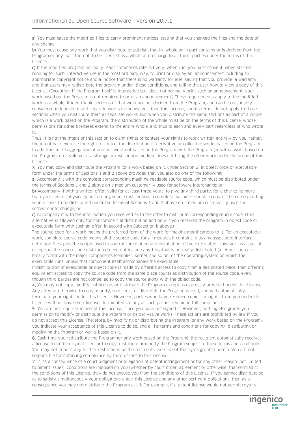a) You must cause the modified files to carry prominent notices stating that you changed the files and the date of any change.

b) You must cause any work that you distribute or publish, that in whole or in part contains or is derived from the Program or any part thereof, to be licensed as a whole at no charge to all third parties under the terms of this License.

c) If the modified program normally reads commands interactively when run, you must cause it, when started running for such interactive use in the most ordinary way, to print or display an announcement including an appropriate copyright notice and a notice that there is no warranty (or else, saying that you provide a warranty) and that users may redistribute the program under these conditions, and telling the user how to view a copy of this License. (Exception: if the Program itself is interactive but does not normally print such an announcement, your work based on the Program is not required to print an announcement.) These requirements apply to the modified work as a whole. If identifiable sections of that work are not derived from the Program, and can be reasonably considered independent and separate works in themselves, then this License, and its terms, do not apply to those sections when you distribute them as separate works. But when you distribute the same sections as part of a whole which is a work based on the Program, the distribution of the whole must be on the terms of this License, whose permissions for other licensees extend to the entire whole, and thus to each and every part regardless of who wrote it.

Thus, it is not the intent of this section to claim rights or contest your rights to work written entirely by you; rather, the intent is to exercise the right to control the distribution of derivative or collective works based on the Program. In addition, mere aggregation of another work not based on the Program with the Program (or with a work based on the Program) on a volume of a storage or distribution medium does not bring the other work under the scope of this License.

3. You may copy and distribute the Program (or a work based on it, under Section 2) in object code or executable form under the terms of Sections 1 and 2 above provided that you also do one of the following:

a) Accompany it with the complete corresponding machine-readable source code, which must be distributed under the terms of Sections 1 and 2 above on a medium customarily used for software interchange; or,

b) Accompany it with a written offer, valid for at least three years, to give any third party, for a charge no more than your cost of physically performing source distribution, a complete machine-readable copy of the corresponding source code, to be distributed under the terms of Sections 1 and 2 above on a medium customarily used for software interchange; or,

c) Accompany it with the information you received as to the offer to distribute corresponding source code. (This alternative is allowed only for noncommercial distribution and only if you received the program in object code or executable form with such an offer, in accord with Subsection b above.)

The source code for a work means the preferred form of the work for making modifications to it. For an executable work, complete source code means all the source code for all modules it contains, plus any associated interface definition files, plus the scripts used to control compilation and installation of the executable. However, as a special exception, the source code distributed need not include anything that is normally distributed (in either source or binary form) with the major components (compiler, kernel, and so on) of the operating system on which the executable runs, unless that component itself accompanies the executable.

If distribution of executable or object code is made by offering access to copy from a designated place, then offering equivalent access to copy the source code from the same place counts as distribution of the source code, even though third parties are not compelled to copy the source along with the object code.

4. You may not copy, modify, sublicense, or distribute the Program except as expressly provided under this License. Any attempt otherwise to copy, modify, sublicense or distribute the Program is void, and will automatically terminate your rights under this License. However, parties who have received copies, or rights, from you under this License will not have their licenses terminated so long as such parties remain in full compliance.

5. You are not required to accept this License, since you have not signed it. However, nothing else grants you permission to modify or distribute the Program or its derivative works. These actions are prohibited by law if you do not accept this License. Therefore, by modifying or distributing the Program (or any work based on the Program), you indicate your acceptance of this License to do so, and all its terms and conditions for copying, distributing or modifying the Program or works based on it.

6. Each time you redistribute the Program (or any work based on the Program), the recipient automatically receives a license from the original licensor to copy, distribute or modify the Program subject to these terms and conditions. You may not impose any further restrictions on the recipients' exercise of the rights granted herein. You are not responsible for enforcing compliance by third parties to this License.

7. If, as a consequence of a court judgment or allegation of patent infringement or for any other reason (not limited to patent issues), conditions are imposed on you (whether by court order, agreement or otherwise) that contradict the conditions of this License, they do not excuse you from the conditions of this License. If you cannot distribute so as to satisfy simultaneously your obligations under this License and any other pertinent obligations, then as a consequence you may not distribute the Program at all. For example, if a patent license would not permit royalty-

> **Ingen Healthcare**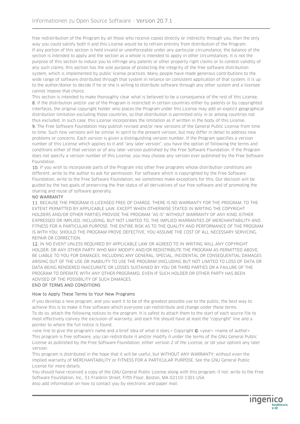free redistribution of the Program by all those who receive copies directly or indirectly through you, then the only way you could satisfy both it and this License would be to refrain entirely from distribution of the Program. If any portion of this section is held invalid or unenforceable under any particular circumstance, the balance of the section is intended to apply and the section as a whole is intended to apply in other circumstances. It is not the purpose of this section to induce you to infringe any patents or other property right claims or to contest validity of any such claims; this section has the sole purpose of protecting the integrity of the free software distribution system, which is implemented by public license practices. Many people have made generous contributions to the wide range of software distributed through that system in reliance on consistent application of that system; it is up to the author/donor to decide if he or she is willing to distribute software through any other system and a licensee cannot impose that choice.

This section is intended to make thoroughly clear what is believed to be a consequence of the rest of this License. 8. If the distribution and/or use of the Program is restricted in certain countries either by patents or by copyrighted interfaces, the original copyright holder who places the Program under this License may add an explicit geographical distribution limitation excluding those countries, so that distribution is permitted only in or among countries not thus excluded. In such case, this License incorporates the limitation as if written in the body of this License.

9. The Free Software Foundation may publish revised and/or new versions of the General Public License from time to time. Such new versions will be similar in spirit to the present version, but may differ in detail to address new problems or concerns. Each version is given a distinguishing version number. If the Program specifies a version number of this License which applies to it and "any later version", you have the option of following the terms and conditions either of that version or of any later version published by the Free Software Foundation. If the Program does not specify a version number of this License, you may choose any version ever published by the Free Software Foundation.

10. If you wish to incorporate parts of the Program into other free programs whose distribution conditions are different, write to the author to ask for permission. For software which is copyrighted by the Free Software Foundation, write to the Free Software Foundation; we sometimes make exceptions for this. Our decision will be guided by the two goals of preserving the free status of all derivatives of our free software and of promoting the sharing and reuse of software generally.

#### NO WARRANTY

11. BECAUSE THE PROGRAM IS LICENSED FREE OF CHARGE, THERE IS NO WARRANTY FOR THE PROGRAM, TO THE EXTENT PERMITTED BY APPLICABLE LAW. EXCEPT WHEN OTHERWISE STATED IN WRITING THE COPYRIGHT HOLDERS AND/OR OTHER PARTIES PROVIDE THE PROGRAM "AS IS" WITHOUT WARRANTY OF ANY KIND, EITHER EXPRESSED OR IMPLIED, INCLUDING, BUT NOT LIMITED TO, THE IMPLIED WARRANTIES OF MERCHANTABILITY AND FITNESS FOR A PARTICULAR PURPOSE. THE ENTIRE RISK AS TO THE QUALITY AND PERFORMANCE OF THE PROGRAM IS WITH YOU. SHOULD THE PROGRAM PROVE DEFECTIVE, YOU ASSUME THE COST OF ALL NECESSARY SERVICING, REPAIR OR CORRECTION.

12. IN NO EVENT UNLESS REQUIRED BY APPLICABLE LAW OR AGREED TO IN WRITING WILL ANY COPYRIGHT HOLDER, OR ANY OTHER PARTY WHO MAY MODIFY AND/OR REDISTRIBUTE THE PROGRAM AS PERMITTED ABOVE, BE LIABLE TO YOU FOR DAMAGES, INCLUDING ANY GENERAL, SPECIAL, INCIDENTAL OR CONSEQUENTIAL DAMAGES ARISING OUT OF THE USE OR INABILITY TO USE THE PROGRAM (INCLUDING BUT NOT LIMITED TO LOSS OF DATA OR DATA BEING RENDERED INACCURATE OR LOSSES SUSTAINED BY YOU OR THIRD PARTIES OR A FAILURE OF THE PROGRAM TO OPERATE WITH ANY OTHER PROGRAMS), EVEN IF SUCH HOLDER OR OTHER PARTY HAS BEEN ADVISED OF THE POSSIBILITY OF SUCH DAMAGES.

#### END OF TERMS AND CONDITIONS

#### How to Apply These Terms to Your New Programs

If you develop a new program, and you want it to be of the greatest possible use to the public, the best way to achieve this is to make it free software which everyone can redistribute and change under these terms. To do so, attach the following notices to the program. It is safest to attach them to the start of each source file to most effectively convey the exclusion of warranty; and each file should have at least the "copyright" line and a pointer to where the full notice is found.

<one line to give the program's name and a brief idea of what it does.> Copyright © <year> <name of author> This program is free software; you can redistribute it and/or modify it under the terms of the GNU General Public License as published by the Free Software Foundation; either version 2 of the License, or (at your option) any later version.

This program is distributed in the hope that it will be useful, but WITHOUT ANY WARRANTY; without even the implied warranty of MERCHANTABILITY or FITNESS FOR A PARTICULAR PURPOSE. See the GNU General Public License for more details.

You should have received a copy of the GNU General Public License along with this program; if not, write to the Free Software Foundation, Inc., 51 Franklin Street, Fifth Floor, Boston, MA 02110-1301 USA Also add information on how to contact you by electronic and paper mail.

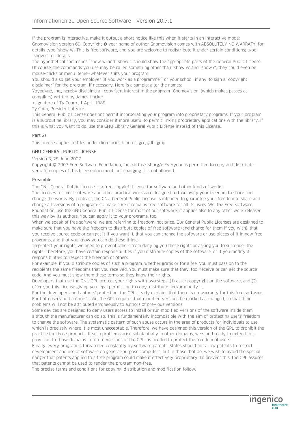If the program is interactive, make it output a short notice like this when it starts in an interactive mode: Gnomovision version 69, Copyright © year name of author Gnomovision comes with ABSOLUTELY NO WARRATY; for details type `show w'. This is free software, and you are welcome to redistribute it under certain conditions; type `show c' for details.

The hypothetical commands `show w' and `show c' should show the appropriate parts of the General Public License. Of course, the commands you use may be called something other than `show w' and `show c'; they could even be mouse-clicks or menu items--whatever suits your program.

You should also get your employer (if you work as a programmer) or your school, if any, to sign a "copyright disclaimer" for the program, if necessary. Here is a sample; alter the names:

Yoyodyne, Inc., hereby disclaims all copyright interest in the program `Gnomovision' (which makes passes at compilers) written by James Hacker.

<signature of Ty Coon>, 1 April 1989

Ty Coon, President of Vice

This General Public License does not permit incorporating your program into proprietary programs. If your program is a subroutine library, you may consider it more useful to permit linking proprietary applications with the library. If this is what you want to do, use the GNU Library General Public License instead of this License.

#### Part 2)

This license applies to files under directories binutils, gcc, gdb, gmp

#### GNU GENERAL PUBLIC LICENSE

Version 3, 29 June 2007

Copyright © 2007 Free Software Foundation, Inc. <http://fsf.org/> Everyone is permitted to copy and distribute verbatim copies of this license document, but changing it is not allowed.

#### Preamble

The GNU General Public License is a free, copyleft license for software and other kinds of works.

The licenses for most software and other practical works are designed to take away your freedom to share and change the works. By contrast, the GNU General Public License is intended to guarantee your freedom to share and change all versions of a program--to make sure it remains free software for all its users. We, the Free Software Foundation, use the GNU General Public License for most of our software; it applies also to any other work released this way by its authors. You can apply it to your programs, too.

When we speak of free software, we are referring to freedom, not price. Our General Public Licenses are designed to make sure that you have the freedom to distribute copies of free software (and charge for them if you wish), that you receive source code or can get it if you want it, that you can change the software or use pieces of it in new free programs, and that you know you can do these things.

To protect your rights, we need to prevent others from denying you these rights or asking you to surrender the rights. Therefore, you have certain responsibilities if you distribute copies of the software, or if you modify it: responsibilities to respect the freedom of others.

For example, if you distribute copies of such a program, whether gratis or for a fee, you must pass on to the recipients the same freedoms that you received. You must make sure that they, too, receive or can get the source code. And you must show them these terms so they know their rights.

Developers that use the GNU GPL protect your rights with two steps: (1) assert copyright on the software, and (2) offer you this License giving you legal permission to copy, distribute and/or modify it.

For the developers' and authors' protection, the GPL clearly explains that there is no warranty for this free software. For both users' and authors' sake, the GPL requires that modified versions be marked as changed, so that their problems will not be attributed erroneously to authors of previous versions.

Some devices are designed to deny users access to install or run modified versions of the software inside them, although the manufacturer can do so. This is fundamentally incompatible with the aim of protecting users' freedom to change the software. The systematic pattern of such abuse occurs in the area of products for individuals to use, which is precisely where it is most unacceptable. Therefore, we have designed this version of the GPL to prohibit the practice for those products. If such problems arise substantially in other domains, we stand ready to extend this provision to those domains in future versions of the GPL, as needed to protect the freedom of users.

Finally, every program is threatened constantly by software patents. States should not allow patents to restrict development and use of software on general-purpose computers, but in those that do, we wish to avoid the special danger that patents applied to a free program could make it effectively proprietary. To prevent this, the GPL assures that patents cannot be used to render the program non-free.

**Ingenic** 

**Healthcare** 

The precise terms and conditions for copying, distribution and modification follow.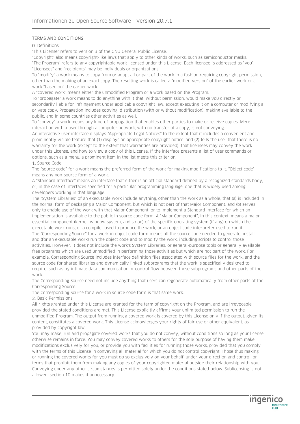#### TERMS AND CONDITIONS

0. Definitions.

"This License" refers to version 3 of the GNU General Public License.

"Copyright" also means copyright-like laws that apply to other kinds of works, such as semiconductor masks. "The Program" refers to any copyrightable work licensed under this License. Each licensee is addressed as "you". "Licensees" and "recipients" may be individuals or organizations.

To "modify" a work means to copy from or adapt all or part of the work in a fashion requiring copyright permission, other than the making of an exact copy. The resulting work is called a "modified version" of the earlier work or a work "based on" the earlier work.

A "covered work" means either the unmodified Program or a work based on the Program.

To "propagate" a work means to do anything with it that, without permission, would make you directly or secondarily liable for infringement under applicable copyright law, except executing it on a computer or modifying a private copy. Propagation includes copying, distribution (with or without modification), making available to the public, and in some countries other activities as well.

To "convey" a work means any kind of propagation that enables other parties to make or receive copies. Mere interaction with a user through a computer network, with no transfer of a copy, is not conveying. An interactive user interface displays "Appropriate Legal Notices" to the extent that it includes a convenient and prominently visible feature that (1) displays an appropriate copyright notice, and (2) tells the user that there is no warranty for the work (except to the extent that warranties are provided), that licensees may convey the work under this License, and how to view a copy of this License. If the interface presents a list of user commands or options, such as a menu, a prominent item in the list meets this criterion.

1. Source Code.

The "source code" for a work means the preferred form of the work for making modifications to it. "Object code" means any non-source form of a work.

A "Standard Interface" means an interface that either is an official standard defined by a recognized standards body, or, in the case of interfaces specified for a particular programming language, one that is widely used among developers working in that language.

The "System Libraries" of an executable work include anything, other than the work as a whole, that (a) is included in the normal form of packaging a Major Component, but which is not part of that Major Component, and (b) serves only to enable use of the work with that Major Component, or to implement a Standard Interface for which an implementation is available to the public in source code form. A "Major Component", in this context, means a major essential component (kernel, window system, and so on) of the specific operating system (if any) on which the executable work runs, or a compiler used to produce the work, or an object code interpreter used to run it. The "Corresponding Source" for a work in object code form means all the source code needed to generate, install, and (for an executable work) run the object code and to modify the work, including scripts to control those activities. However, it does not include the work's System Libraries, or general-purpose tools or generally available free programs which are used unmodified in performing those activities but which are not part of the work. For example, Corresponding Source includes interface definition files associated with source files for the work, and the source code for shared libraries and dynamically linked subprograms that the work is specifically designed to require, such as by intimate data communication or control flow between those subprograms and other parts of the work.

The Corresponding Source need not include anything that users can regenerate automatically from other parts of the Corresponding Source.

The Corresponding Source for a work in source code form is that same work.

2. Basic Permissions.

All rights granted under this License are granted for the term of copyright on the Program, and are irrevocable provided the stated conditions are met. This License explicitly affirms your unlimited permission to run the unmodified Program. The output from running a covered work is covered by this License only if the output, given its content, constitutes a covered work. This License acknowledges your rights of fair use or other equivalent, as provided by copyright law.

You may make, run and propagate covered works that you do not convey, without conditions so long as your license otherwise remains in force. You may convey covered works to others for the sole purpose of having them make modifications exclusively for you, or provide you with facilities for running those works, provided that you comply with the terms of this License in conveying all material for which you do not control copyright. Those thus making or running the covered works for you must do so exclusively on your behalf, under your direction and control, on terms that prohibit them from making any copies of your copyrighted material outside their relationship with you. Conveying under any other circumstances is permitted solely under the conditions stated below. Sublicensing is not allowed; section 10 makes it unnecessary.

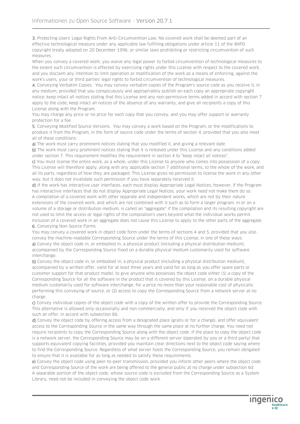3. Protecting Users' Legal Rights From Anti-Circumvention Law. No covered work shall be deemed part of an effective technological measure under any applicable law fulfilling obligations under article 11 of the WIPO copyright treaty adopted on 20 December 1996, or similar laws prohibiting or restricting circumvention of such measures.

When you convey a covered work, you waive any legal power to forbid circumvention of technological measures to the extent such circumvention is effected by exercising rights under this License with respect to the covered work, and you disclaim any intention to limit operation or modification of the work as a means of enforcing, against the work's users, your or third parties' legal rights to forbid circumvention of technological measures.

4. Conveying Verbatim Copies. You may convey verbatim copies of the Program's source code as you receive it, in any medium, provided that you conspicuously and appropriately publish on each copy an appropriate copyright notice; keep intact all notices stating that this License and any non-permissive terms added in accord with section 7 apply to the code; keep intact all notices of the absence of any warranty; and give all recipients a copy of this License along with the Program.

You may charge any price or no price for each copy that you convey, and you may offer support or warranty protection for a fee.

5. Conveying Modified Source Versions. You may convey a work based on the Program, or the modifications to produce it from the Program, in the form of source code under the terms of section 4, provided that you also meet all of these conditions:

a) The work must carry prominent notices stating that you modified it, and giving a relevant date.

b) The work must carry prominent notices stating that it is released under this License and any conditions added under section 7. This requirement modifies the requirement in section 4 to "keep intact all notices".

c) You must license the entire work, as a whole, under this License to anyone who comes into possession of a copy. This License will therefore apply, along with any applicable section 7 additional terms, to the whole of the work, and all its parts, regardless of how they are packaged. This License gives no permission to license the work in any other way, but it does not invalidate such permission if you have separately received it.

d) If the work has interactive user interfaces, each must display Appropriate Legal Notices; however, if the Program has interactive interfaces that do not display Appropriate Legal Notices, your work need not make them do so. A compilation of a covered work with other separate and independent works, which are not by their nature extensions of the covered work, and which are not combined with it such as to form a larger program, in or on a volume of a storage or distribution medium, is called an "aggregate" if the compilation and its resulting copyright are not used to limit the access or legal rights of the compilation's users beyond what the individual works permit. Inclusion of a covered work in an aggregate does not cause this License to apply to the other parts of the aggregate. 6. Conveying Non-Source Forms.

You may convey a covered work in object code form under the terms of sections 4 and 5, provided that you also convey the machine-readable Corresponding Source under the terms of this License, in one of these ways:

a) Convey the object code in, or embodied in, a physical product (including a physical distribution medium), accompanied by the Corresponding Source fixed on a durable physical medium customarily used for software interchange.

b) Convey the object code in, or embodied in, a physical product (including a physical distribution medium), accompanied by a written offer, valid for at least three years and valid for as long as you offer spare parts or customer support for that product model, to give anyone who possesses the object code either (1) a copy of the Corresponding Source for all the software in the product that is covered by this License, on a durable physical medium customarily used for software interchange, for a price no more than your reasonable cost of physically performing this conveying of source, or (2) access to copy the Corresponding Source from a network server at no charge.

c) Convey individual copies of the object code with a copy of the written offer to provide the Corresponding Source. This alternative is allowed only occasionally and non-commercially, and only if you received the object code with such an offer, in accord with subsection 6b.

d) Convey the object code by offering access from a designated place (gratis or for a charge), and offer equivalent access to the Corresponding Source in the same way through the same place at no further charge. You need not require recipients to copy the Corresponding Source along with the object code. If the place to copy the object code is a network server, the Corresponding Source may be on a different server (operated by you or a third party) that supports equivalent copying facilities, provided you maintain clear directions next to the object code saying where to find the Corresponding Source. Regardless of what server hosts the Corresponding Source, you remain obligated to ensure that it is available for as long as needed to satisfy these requirements.

e) Convey the object code using peer-to-peer transmission, provided you inform other peers where the object code and Corresponding Source of the work are being offered to the general public at no charge under subsection 6d. A separable portion of the object code, whose source code is excluded from the Corresponding Source as a System Library, need not be included in conveying the object code work.

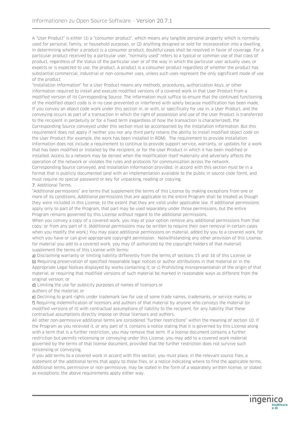A "User Product" is either (1) a "consumer product", which means any tangible personal property which is normally used for personal, family, or household purposes, or (2) anything designed or sold for incorporation into a dwelling. In determining whether a product is a consumer product, doubtful cases shall be resolved in favor of coverage. For a particular product received by a particular user, "normally used" refers to a typical or common use of that class of product, regardless of the status of the particular user or of the way in which the particular user actually uses, or expects or is expected to use, the product. A product is a consumer product regardless of whether the product has substantial commercial, industrial or non-consumer uses, unless such uses represent the only significant mode of use of the product.

"Installation Information" for a User Product means any methods, procedures, authorization keys, or other information required to install and execute modified versions of a covered work in that User Product from a modified version of its Corresponding Source. The information must suffice to ensure that the continued functioning of the modified object code is in no case prevented or interfered with solely because modification has been made. If you convey an object code work under this section in, or with, or specifically for use in, a User Product, and the conveying occurs as part of a transaction in which the right of possession and use of the User Product is transferred to the recipient in perpetuity or for a fixed term (regardless of how the transaction is characterized), the Corresponding Source conveyed under this section must be accompanied by the Installation Information. But this requirement does not apply if neither you nor any third party retains the ability to install modified object code on the User Product (for example, the work has been installed in ROM). The requirement to provide Installation Information does not include a requirement to continue to provide support service, warranty, or updates for a work that has been modified or installed by the recipient, or for the User Product in which it has been modified or installed. Access to a network may be denied when the modification itself materially and adversely affects the operation of the network or violates the rules and protocols for communication across the network. Corresponding Source conveyed, and Installation Information provided, in accord with this section must be in a format that is publicly documented (and with an implementation available to the public in source code form), and must require no special password or key for unpacking, reading or copying.

#### 7. Additional Terms.

"Additional permissions" are terms that supplement the terms of this License by making exceptions from one or more of its conditions. Additional permissions that are applicable to the entire Program shall be treated as though they were included in this License, to the extent that they are valid under applicable law. If additional permissions apply only to part of the Program, that part may be used separately under those permissions, but the entire Program remains governed by this License without regard to the additional permissions.

When you convey a copy of a covered work, you may at your option remove any additional permissions from that copy, or from any part of it. (Additional permissions may be written to require their own removal in certain cases when you modify the work.) You may place additional permissions on material, added by you to a covered work, for which you have or can give appropriate copyright permission. Notwithstanding any other provision of this License, for material you add to a covered work, you may (if authorized by the copyright holders of that material) supplement the terms of this License with terms:

a) Disclaiming warranty or limiting liability differently from the terms of sections 15 and 16 of this License; or b) Requiring preservation of specified reasonable legal notices or author attributions in that material or in the Appropriate Legal Notices displayed by works containing it; or c) Prohibiting misrepresentation of the origin of that material, or requiring that modified versions of such material be marked in reasonable ways as different from the original version; or

d) Limiting the use for publicity purposes of names of licensors or

authors of the material; or

e) Declining to grant rights under trademark law for use of some trade names, trademarks, or service marks; or f) Requiring indemnification of licensors and authors of that material by anyone who conveys the material (or modified versions of it) with contractual assumptions of liability to the recipient, for any liability that these contractual assumptions directly impose on those licensors and authors.

All other non-permissive additional terms are considered "further restrictions" within the meaning of section 10. If the Program as you received it, or any part of it, contains a notice stating that it is governed by this License along with a term that is a further restriction, you may remove that term. If a license document contains a further restriction but permits relicensing or conveying under this License, you may add to a covered work material governed by the terms of that license document, provided that the further restriction does not survive such relicensing or conveying.

If you add terms to a covered work in accord with this section, you must place, in the relevant source files, a statement of the additional terms that apply to those files, or a notice indicating where to find the applicable terms. Additional terms, permissive or non-permissive, may be stated in the form of a separately written license, or stated as exceptions; the above requirements apply either way.

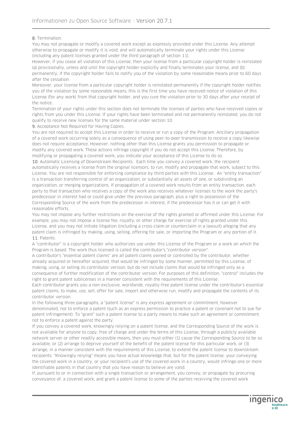8. Termination.

You may not propagate or modify a covered work except as expressly provided under this License. Any attempt otherwise to propagate or modify it is void, and will automatically terminate your rights under this License (including any patent licenses granted under the third paragraph of section 11).

However, if you cease all violation of this License, then your license from a particular copyright holder is reinstated (a) provisionally, unless and until the copyright holder explicitly and finally terminates your license, and (b) permanently, if the copyright holder fails to notify you of the violation by some reasonable means prior to 60 days after the cessation.

Moreover, your license from a particular copyright holder is reinstated permanently if the copyright holder notifies you of the violation by some reasonable means, this is the first time you have received notice of violation of this License (for any work) from that copyright holder, and you cure the violation prior to 30 days after your receipt of the notice.

Termination of your rights under this section does not terminate the licenses of parties who have received copies or rights from you under this License. If your rights have been terminated and not permanently reinstated, you do not qualify to receive new licenses for the same material under section 10.

9. Acceptance Not Required for Having Copies.

You are not required to accept this License in order to receive or run a copy of the Program. Ancillary propagation of a covered work occurring solely as a consequence of using peer-to-peer transmission to receive a copy likewise does not require acceptance. However, nothing other than this License grants you permission to propagate or modify any covered work. These actions infringe copyright if you do not accept this License. Therefore, by modifying or propagating a covered work, you indicate your acceptance of this License to do so.

10. Automatic Licensing of Downstream Recipients. Each time you convey a covered work, the recipient automatically receives a license from the original licensors, to run, modify and propagate that work, subject to this License. You are not responsible for enforcing compliance by third parties with this License. An "entity transaction" is a transaction transferring control of an organization, or substantially all assets of one, or subdividing an organization, or merging organizations. If propagation of a covered work results from an entity transaction, each party to that transaction who receives a copy of the work also receives whatever licenses to the work the party's predecessor in interest had or could give under the previous paragraph, plus a right to possession of the Corresponding Source of the work from the predecessor in interest, if the predecessor has it or can get it with reasonable efforts.

You may not impose any further restrictions on the exercise of the rights granted or affirmed under this License. For example, you may not impose a license fee, royalty, or other charge for exercise of rights granted under this License, and you may not initiate litigation (including a cross-claim or counterclaim in a lawsuit) alleging that any patent claim is infringed by making, using, selling, offering for sale, or importing the Program or any portion of it. 11 Patents

#### A "contributor" is a copyright holder who authorizes use under this License of the Program or a work on which the Program is based. The work thus licensed is called the contributor's "contributor version".

A contributor's "essential patent claims" are all patent claims owned or controlled by the contributor, whether already acquired or hereafter acquired, that would be infringed by some manner, permitted by this License, of making, using, or selling its contributor version, but do not include claims that would be infringed only as a consequence of further modification of the contributor version. For purposes of this definition, "control" includes the right to grant patent sublicenses in a manner consistent with the requirements of this License.

Each contributor grants you a non-exclusive, worldwide, royalty-free patent license under the contributor's essential patent claims, to make, use, sell, offer for sale, import and otherwise run, modify and propagate the contents of its contributor version.

In the following three paragraphs, a "patent license" is any express agreement or commitment, however denominated, not to enforce a patent (such as an express permission to practice a patent or covenant not to sue for patent infringement). To "grant" such a patent license to a party means to make such an agreement or commitment not to enforce a patent against the party.

If you convey a covered work, knowingly relying on a patent license, and the Corresponding Source of the work is not available for anyone to copy, free of charge and under the terms of this License, through a publicly available network server or other readily accessible means, then you must either (1) cause the Corresponding Source to be so available, or (2) arrange to deprive yourself of the benefit of the patent license for this particular work, or (3) arrange, in a manner consistent with the requirements of this License, to extend the patent license to downstream recipients. "Knowingly relying" means you have actual knowledge that, but for the patent license, your conveying the covered work in a country, or your recipient's use of the covered work in a country, would infringe one or more identifiable patents in that country that you have reason to believe are valid.

If, pursuant to or in connection with a single transaction or arrangement, you convey, or propagate by procuring conveyance of, a covered work, and grant a patent license to some of the parties receiving the covered work

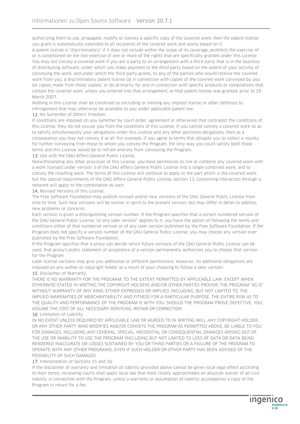authorizing them to use, propagate, modify or convey a specific copy of the covered work, then the patent license you grant is automatically extended to all recipients of the covered work and works based on it.

A patent license is "discriminatory" if it does not include within the scope of its coverage, prohibits the exercise of, or is conditioned on the non-exercise of one or more of the rights that are specifically granted under this License. You may not convey a covered work if you are a party to an arrangement with a third party that is in the business of distributing software, under which you make payment to the third party based on the extent of your activity of conveying the work, and under which the third party grants, to any of the parties who would receive the covered work from you, a discriminatory patent license (a) in connection with copies of the covered work conveyed by you (or copies made from those copies), or (b) primarily for and in connection with specific products or compilations that contain the covered work, unless you entered into that arrangement, or that patent license was granted, prior to 28 March 2007.

Nothing in this License shall be construed as excluding or limiting any implied license or other defenses to infringement that may otherwise be available to you under applicable patent law.

12. No Surrender of Others' Freedom.

If conditions are imposed on you (whether by court order, agreement or otherwise) that contradict the conditions of this License, they do not excuse you from the conditions of this License. If you cannot convey a covered work so as to satisfy simultaneously your obligations under this License and any other pertinent obligations, then as a consequence you may not convey it at all. For example, if you agree to terms that obligate you to collect a royalty for further conveying from those to whom you convey the Program, the only way you could satisfy both those terms and this License would be to refrain entirely from conveying the Program.

13. Use with the GNU Affero General Public License.

Notwithstanding any other provision of this License, you have permission to link or combine any covered work with a work licensed under version 3 of the GNU Affero General Public License into a single combined work, and to convey the resulting work. The terms of this License will continue to apply to the part which is the covered work, but the special requirements of the GNU Affero General Public License, section 13, concerning interaction through a network will apply to the combination as such.

14. Revised Versions of this License.

The Free Software Foundation may publish revised and/or new versions of the GNU General Public License from time to time. Such new versions will be similar in spirit to the present version, but may differ in detail to address new problems or concerns.

Each version is given a distinguishing version number. If the Program specifies that a certain numbered version of the GNU General Public License "or any later version" applies to it, you have the option of following the terms and conditions either of that numbered version or of any later version published by the Free Software Foundation. If the Program does not specify a version number of the GNU General Public License, you may choose any version ever published by the Free Software Foundation.

If the Program specifies that a proxy can decide which future versions of the GNU General Public License can be used, that proxy's public statement of acceptance of a version permanently authorizes you to choose that version for the Program.

Later license versions may give you additional or different permissions. However, no additional obligations are imposed on any author or copyright holder as a result of your choosing to follow a later version.

15. Disclaimer of Warranty.

THERE IS NO WARRANTY FOR THE PROGRAM, TO THE EXTENT PERMITTED BY APPLICABLE LAW. EXCEPT WHEN OTHERWISE STATED IN WRITING THE COPYRIGHT HOLDERS AND/OR OTHER PARTIES PROVIDE THE PROGRAM "AS IS" WITHOUT WARRANTY OF ANY KIND, EITHER EXPRESSED OR IMPLIED, INCLUDING, BUT NOT LIMITED TO, THE IMPLIED WARRANTIES OF MERCHANTABILITY AND FITNESS FOR A PARTICULAR PURPOSE. THE ENTIRE RISK AS TO THE QUALITY AND PERFORMANCE OF THE PROGRAM IS WITH YOU. SHOULD THE PROGRAM PROVE DEFECTIVE, YOU ASSUME THE COST OF ALL NECESSARY SERVICING, REPAIR OR CORRECTION.

#### 16. Limitation of Liability.

IN NO EVENT UNLESS REQUIRED BY APPLICABLE LAW OR AGREED TO IN WRITING WILL ANY COPYRIGHT HOLDER, OR ANY OTHER PARTY WHO MODIFIES AND/OR CONVEYS THE PROGRAM AS PERMITTED ABOVE, BE LIABLE TO YOU FOR DAMAGES, INCLUDING ANY GENERAL, SPECIAL, INCIDENTAL OR CONSEQUENTIAL DAMAGES ARISING OUT OF THE USE OR INABILITY TO USE THE PROGRAM (INCLUDING BUT NOT LIMITED TO LOSS OF DATA OR DATA BEING RENDERED INACCURATE OR LOSSES SUSTAINED BY YOU OR THIRD PARTIES OR A FAILURE OF THE PROGRAM TO OPERATE WITH ANY OTHER PROGRAMS), EVEN IF SUCH HOLDER OR OTHER PARTY HAS BEEN ADVISED OF THE POSSIBILITY OF SUCH DAMAGES.

17. Interpretation of Sections 15 and 16.

If the disclaimer of warranty and limitation of liability provided above cannot be given local legal effect according to their terms, reviewing courts shall apply local law that most closely approximates an absolute waiver of all civil liability in connection with the Program, unless a warranty or assumption of liability accompanies a copy of the Program in return for a fee.

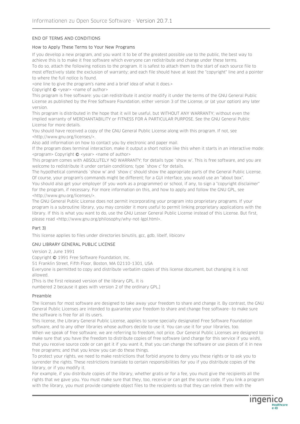#### END OF TERMS AND CONDITIONS

#### How to Apply These Terms to Your New Programs

If you develop a new program, and you want it to be of the greatest possible use to the public, the best way to achieve this is to make it free software which everyone can redistribute and change under these terms. To do so, attach the following notices to the program. It is safest to attach them to the start of each source file to most effectively state the exclusion of warranty; and each file should have at least the "copyright" line and a pointer to where the full notice is found.

<one line to give the program's name and a brief idea of what it does.>

Copyright  $\bigcirc$  <year> <name of author>

This program is free software: you can redistribute it and/or modify it under the terms of the GNU General Public License as published by the Free Software Foundation, either version 3 of the License, or (at your option) any later version.

This program is distributed in the hope that it will be useful, but WITHOUT ANY WARRANTY; without even the implied warranty of MERCHANTABILITY or FITNESS FOR A PARTICULAR PURPOSE. See the GNU General Public License for more details.

You should have received a copy of the GNU General Public License along with this program. If not, see <http://www.gnu.org/licenses/>.

Also add information on how to contact you by electronic and paper mail.

If the program does terminal interaction, make it output a short notice like this when it starts in an interactive mode: <program> Copyright © <year> <name of author>

This program comes with ABSOLUTELY NO WARRANTY; for details type `show w'. This is free software, and you are welcome to redistribute it under certain conditions; type `show c' for details.

The hypothetical commands `show w' and `show c' should show the appropriate parts of the General Public License. Of course, your program's commands might be different; for a GUI interface, you would use an "about box". You should also get your employer (if you work as a programmer) or school, if any, to sign a "copyright disclaimer" for the program, if necessary. For more information on this, and how to apply and follow the GNU GPL, see <http://www.gnu.org/licenses/>.

The GNU General Public License does not permit incorporating your program into proprietary programs. If your program is a subroutine library, you may consider it more useful to permit linking proprietary applications with the library. If this is what you want to do, use the GNU Lesser General Public License instead of this License. But first, please read <http://www.gnu.org/philosophy/why-not-lgpl.html>.

#### Part 3)

This license applies to files under directories binutils, gcc, gdb, libelf, libiconv

#### GNU LIBRARY GENERAL PUBLIC LICENSE

Version 2, June 1991

Copyright © 1991 Free Software Foundation, Inc.

51 Franklin Street, Fifth Floor, Boston, MA 02110-1301, USA

Everyone is permitted to copy and distribute verbatim copies of this license document, but changing it is not allowed.

[This is the first released version of the library GPL. It is

numbered 2 because it goes with version 2 of the ordinary GPL.]

#### Preamble

The licenses for most software are designed to take away your freedom to share and change it. By contrast, the GNU General Public Licenses are intended to guarantee your freedom to share and change free software--to make sure the software is free for all its users.

This license, the Library General Public License, applies to some specially designated Free Software Foundation software, and to any other libraries whose authors decide to use it. You can use it for your libraries, too. When we speak of free software, we are referring to freedom, not price. Our General Public Licenses are designed to make sure that you have the freedom to distribute copies of free software (and charge for this service if you wish), that you receive source code or can get it if you want it, that you can change the software or use pieces of it in new free programs; and that you know you can do these things.

To protect your rights, we need to make restrictions that forbid anyone to deny you these rights or to ask you to surrender the rights. These restrictions translate to certain responsibilities for you if you distribute copies of the library, or if you modify it.

For example, if you distribute copies of the library, whether gratis or for a fee, you must give the recipients all the rights that we gave you. You must make sure that they, too, receive or can get the source code. If you link a program with the library, you must provide complete object files to the recipients so that they can relink them with the

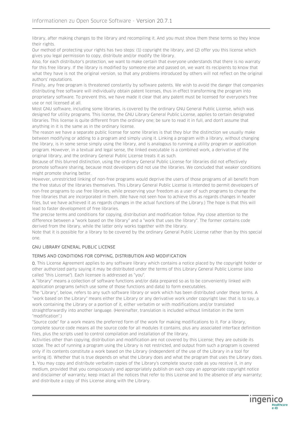library, after making changes to the library and recompiling it. And you must show them these terms so they know their rights.

Our method of protecting your rights has two steps: (1) copyright the library, and (2) offer you this license which gives you legal permission to copy, distribute and/or modify the library.

Also, for each distributor's protection, we want to make certain that everyone understands that there is no warraty for this free library. If the library is modified by someone else and passed on, we want its recipients to know that what they have is not the original version, so that any problems introduced by others will not reflect on the original authors' reputations.

Finally, any free program is threatened constantly by software patents. We wish to avoid the danger that companies distributing free software will individually obtain patent licenses, thus in effect transforming the program into proprietary software. To prevent this, we have made it clear that any patent must be licensed for everyone's free use or not licensed at all.

Most GNU software, including some libraries, is covered by the ordinary GNU General Public License, which was designed for utility programs. This license, the GNU Library General Public License, applies to certain designated libraries. This license is quite different from the ordinary one; be sure to read it in full, and don't assume that anything in it is the same as in the ordinary license.

The reason we have a separate public license for some libraries is that they blur the distinction we usually make between modifying or adding to a program and simply using it. Linking a program with a library, without changing the library, is in some sense simply using the library, and is analogous to running a utility program or application program. However, in a textual and legal sense, the linked executable is a combined work, a derivative of the original library, and the ordinary General Public License treats it as such.

Because of this blurred distinction, using the ordinary General Public License for libraries did not effectively promote software sharing, because most developers did not use the libraries. We concluded that weaker conditions might promote sharing better.

However, unrestricted linking of non-free programs would deprive the users of those programs of all benefit from the free status of the libraries themselves. This Library General Public License is intended to permit developers of non-free programs to use free libraries, while preserving your freedom as a user of such programs to change the free libraries that are incorporated in them. (We have not seen how to achieve this as regards changes in header files, but we have achieved it as regards changes in the actual functions of the Library.) The hope is that this will lead to faster development of free libraries.

The precise terms and conditions for copying, distribution and modification follow. Pay close attention to the difference between a "work based on the library" and a "work that uses the library". The former contains code derived from the library, while the latter only works together with the library.

Note that it is possible for a library to be covered by the ordinary General Public License rather than by this special one.

# GNU LIBRARY GENERAL PUBLIC LICENSE

#### TERMS AND CONDITIONS FOR COPYING, DISTRIBUTION AND MODIFICATION

0. This License Agreement applies to any software library which contains a notice placed by the copyright holder or other authorized party saying it may be distributed under the terms of this Library General Public License (also called "this License"). Each licensee is addressed as "you".

A "library" means a collection of software functions and/or data prepared so as to be conveniently linked with application programs (which use some of those functions and data) to form executables.

The "Library", below, refers to any such software library or work which has been distributed under these terms. A "work based on the Library" means either the Library or any derivative work under copyright law: that is to say, a work containing the Library or a portion of it, either verbatim or with modifications and/or translated straightforwardly into another language. (Hereinafter, translation is included without limitation in the term "modification".)

"Source code" for a work means the preferred form of the work for making modifications to it. For a library, complete source code means all the source code for all modules it contains, plus any associated interface definition files, plus the scripts used to control compilation and installation of the library.

Activities other than copying, distribution and modification are not covered by this License; they are outside its scope. The act of running a program using the Library is not restricted, and output from such a program is covered only if its contents constitute a work based on the Library (independent of the use of the Library in a tool for writing it). Whether that is true depends on what the Library does and what the program that uses the Library does.

1. You may copy and distribute verbatim copies of the Library's complete source code as you receive it, in any medium, provided that you conspicuously and appropriately publish on each copy an appropriate copyright notice and disclaimer of warranty; keep intact all the notices that refer to this License and to the absence of any warranty; and distribute a copy of this License along with the Library.

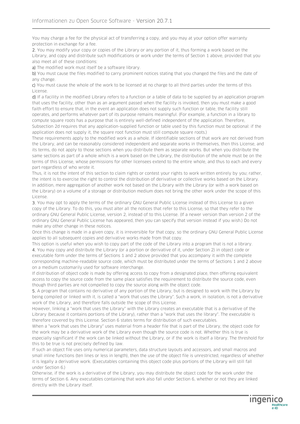You may charge a fee for the physical act of transferring a copy, and you may at your option offer warranty protection in exchange for a fee.

2. You may modify your copy or copies of the Library or any portion of it, thus forming a work based on the Library, and copy and distribute such modifications or work under the terms of Section 1 above, provided that you also meet all of these conditions:

a) The modified work must itself be a software library.

b) You must cause the files modified to carry prominent notices stating that you changed the files and the date of any change.

c) You must cause the whole of the work to be licensed at no charge to all third parties under the terms of this License.

d) If a facility in the modified Library refers to a function or a table of data to be supplied by an application program that uses the facility, other than as an argument passed when the facility is invoked, then you must make a good faith effort to ensure that, in the event an application does not supply such function or table, the facility still operates, and performs whatever part of its purpose remains meaningful. (For example, a function in a library to compute square roots has a purpose that is entirely well-defined independent of the application. Therefore, Subsection 2d requires that any application-supplied function or table used by this function must be optional: if the application does not supply it, the square root function must still compute square roots.)

These requirements apply to the modified work as a whole. If identifiable sections of that work are not derived from the Library, and can be reasonably considered independent and separate works in themselves, then this License, and its terms, do not apply to those sections when you distribute them as separate works. But when you distribute the same sections as part of a whole which is a work based on the Library, the distribution of the whole must be on the terms of this License, whose permissions for other licensees extend to the entire whole, and thus to each and every part regardless of who wrote it.

Thus, it is not the intent of this section to claim rights or contest your rights to work written entirely by you; rather, the intent is to exercise the right to control the distribution of derivative or collective works based on the Library. In addition, mere aggregation of another work not based on the Library with the Library (or with a work based on the Library) on a volume of a storage or distribution medium does not bring the other work under the scope of this License.

3. You may opt to apply the terms of the ordinary GNU General Public License instead of this License to a given copy of the Library. To do this, you must alter all the notices that refer to this License, so that they refer to the ordinary GNU General Public License, version 2, instead of to this License. (If a newer version than version 2 of the ordinary GNU General Public License has appeared, then you can specify that version instead if you wish.) Do not make any other change in these notices.

Once this change is made in a given copy, it is irreversible for that copy, so the ordinary GNU General Public License applies to all subsequent copies and derivative works made from that copy.

This option is useful when you wish to copy part of the code of the Library into a program that is not a library. 4. You may copy and distribute the Library (or a portion or derivative of it, under Section 2) in object code or executable form under the terms of Sections 1 and 2 above provided that you accompany it with the complete corresponding machine-readable source code, which must be distributed under the terms of Sections 1 and 2 above on a medium customarily used for software interchange.

If distribution of object code is made by offering access to copy from a designated place, then offering equivalent access to copy the source code from the same place satisfies the requirement to distribute the source code, even though third parties are not compelled to copy the source along with the object code.

5. A program that contains no derivative of any portion of the Library, but is designed to work with the Library by being compiled or linked with it, is called a "work that uses the Library". Such a work, in isolation, is not a derivative work of the Library, and therefore falls outside the scope of this License.

However, linking a "work that uses the Library" with the Library creates an executable that is a derivative of the Library (because it contains portions of the Library), rather than a "work that uses the library". The executable is therefore covered by this License. Section 6 states terms for distribution of such executables.

When a "work that uses the Library" uses material from a header file that is part of the Library, the object code for the work may be a derivative work of the Library even though the source code is not. Whether this is true is especially significant if the work can be linked without the Library, or if the work is itself a library. The threshold for this to be true is not precisely defined by law.

If such an object file uses only numerical parameters, data structure layouts and accessors, and small macros and small inline functions (ten lines or less in length), then the use of the object file is unrestricted, regardless of whether it is legally a derivative work. (Executables containing this object code plus portions of the Library will still fall under Section 6.)

Otherwise, if the work is a derivative of the Library, you may distribute the object code for the work under the terms of Section 6. Any executables containing that work also fall under Section 6, whether or not they are linked directly with the Library itself.

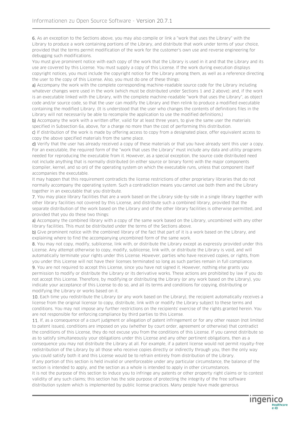6. As an exception to the Sections above, you may also compile or link a "work that uses the Library" with the Library to produce a work containing portions of the Library, and distribute that work under terms of your choice, provided that the terms permit modification of the work for the customer's own use and reverse engineering for debugging such modifications.

You must give prominent notice with each copy of the work that the Library is used in it and that the Library and its use are covered by this License. You must supply a copy of this License. If the work during execution displays copyright notices, you must include the copyright notice for the Library among them, as well as a reference directing the user to the copy of this License. Also, you must do one of these things:

a) Accompany the work with the complete corresponding machine-readable source code for the Library including whatever changes were used in the work (which must be distributed under Sections 1 and 2 above); and, if the work is an executable linked with the Library, with the complete machine-readable "work that uses the Library", as object code and/or source code, so that the user can modify the Library and then relink to produce a modified executable containing the modified Library. (It is understood that the user who changes the contents of definitions files in the Library will not necessarily be able to recompile the application to use the modified definitions.)

b) Accompany the work with a written offer, valid for at least three years, to give the same user the materials specified in Subsection 6a, above, for a charge no more than the cost of performing this distribution.

c) If distribution of the work is made by offering access to copy from a designated place, offer equivalent access to copy the above specified materials from the same place.

d) Verify that the user has already received a copy of these materials or that you have already sent this user a copy. For an executable, the required form of the "work that uses the Library" must include any data and utility programs needed for reproducing the executable from it. However, as a special exception, the source code distributed need not include anything that is normally distributed (in either source or binary form) with the major components (compiler, kernel, and so on) of the operating system on which the executable runs, unless that component itself accompanies the executable.

It may happen that this requirement contradicts the license restrictions of other proprietary libraries that do not normally accompany the operating system. Such a contradiction means you cannot use both them and the Library together in an executable that you distribute.

7. You may place library facilities that are a work based on the Library side-by-side in a single library together with other library facilities not covered by this License, and distribute such a combined library, provided that the separate distribution of the work based on the Library and of the other library facilities is otherwise permitted, and provided that you do these two things:

a) Accompany the combined library with a copy of the same work based on the Library, uncombined with any other library facilities. This must be distributed under the terms of the Sections above.

b) Give prominent notice with the combined library of the fact that part of it is a work based on the Library, and explaining where to find the accompanying uncombined form of the same work.

8. You may not copy, modify, sublicense, link with, or distribute the Library except as expressly provided under this License. Any attempt otherwise to copy, modify, sublicense, link with, or distribute the Library is void, and will automatically terminate your rights under this License. However, parties who have received copies, or rights, from you under this License will not have their licenses terminated so long as such parties remain in full compliance.

9. You are not required to accept this License, since you have not signed it. However, nothing else grants you permission to modify or distribute the Library or its derivative works. These actions are prohibited by law if you do not accept this License. Therefore, by modifying or distributing the Library (or any work based on the Library), you indicate your acceptance of this License to do so, and all its terms and conditions for copying, distributing or modifying the Library or works based on it.

10. Each time you redistribute the Library (or any work based on the Library), the recipient automatically receives a license from the original licensor to copy, distribute, link with or modify the Library subject to these terms and conditions. You may not impose any further restrictions on the recipients' exercise of the rights granted herein. You are not responsible for enforcing compliance by third parties to this License.

11. If, as a consequence of a court judgment or allegation of patent infringement or for any other reason (not limited to patent issues), conditions are imposed on you (whether by court order, agreement or otherwise) that contradict the conditions of this License, they do not excuse you from the conditions of this License. If you cannot distribute so as to satisfy simultaneously your obligations under this License and any other pertinent obligations, then as a consequence you may not distribute the Library at all. For example, if a patent license would not permit royalty-free redistribution of the Library by all those who receive copies directly or indirectly through you, then the only way you could satisfy both it and this License would be to refrain entirely from distribution of the Library.

If any portion of this section is held invalid or unenforceable under any particular circumstance, the balance of the section is intended to apply, and the section as a whole is intended to apply in other circumstances.

It is not the purpose of this section to induce you to infringe any patents or other property right claims or to contest validity of any such claims; this section has the sole purpose of protecting the integrity of the free software distribution system which is implemented by public license practices. Many people have made generous

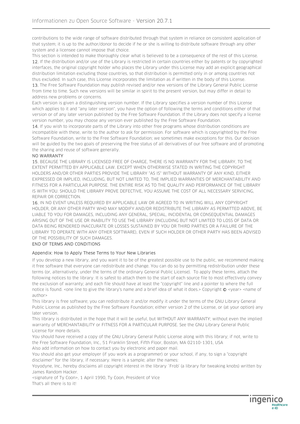contributions to the wide range of software distributed through that system in reliance on consistent application of that system; it is up to the author/donor to decide if he or she is willing to distribute software through any other system and a licensee cannot impose that choice.

This section is intended to make thoroughly clear what is believed to be a consequence of the rest of this License. 12. If the distribution and/or use of the Library is restricted in certain countries either by patents or by copyrighted interfaces, the original copyright holder who places the Library under this License may add an explicit geographical distribution limitation excluding those countries, so that distribution is permitted only in or among countries not thus excluded. In such case, this License incorporates the limitation as if written in the body of this License.

13. The Free Software Foundation may publish revised and/or new versions of the Library General Public License from time to time. Such new versions will be similar in spirit to the present version, but may differ in detail to address new problems or concerns.

Each version is given a distinguishing version number. If the Library specifies a version number of this License which applies to it and "any later version", you have the option of following the terms and conditions either of that version or of any later version published by the Free Software Foundation. If the Library does not specify a license version number, you may choose any version ever published by the Free Software Foundation.

14. If you wish to incorporate parts of the Library into other free programs whose distribution conditions are incompatible with these, write to the author to ask for permission. For software which is copyrighted by the Free Software Foundation, write to the Free Software Foundation; we sometimes make exceptions for this. Our decision will be guided by the two goals of preserving the free status of all derivatives of our free software and of promoting the sharing and reuse of software generally.

#### NO WARRANTY

15. BECAUSE THE LIBRARY IS LICENSED FREE OF CHARGE, THERE IS NO WARRANTY FOR THE LIBRARY, TO THE EXTENT PERMITTED BY APPLICABLE LAW. EXCEPT WHEN OTHERWISE STATED IN WRITING THE COPYRIGHT HOLDERS AND/OR OTHER PARTIES PROVIDE THE LIBRARY "AS IS" WITHOUT WARRANTY OF ANY KIND, EITHER EXPRESSED OR IMPLIED, INCLUDING, BUT NOT LIMITED TO, THE IMPLIED WARRANTIES OF MERCHANTABILITY AND FITNESS FOR A PARTICULAR PURPOSE. THE ENTIRE RISK AS TO THE QUALITY AND PERFORMANCE OF THE LIBRARY IS WITH YOU. SHOULD THE LIBRARY PROVE DEFECTIVE, YOU ASSUME THE COST OF ALL NECESSARY SERVICING, REPAIR OR CORRECTION.

16. IN NO EVENT UNLESS REQUIRED BY APPLICABLE LAW OR AGREED TO IN WRITING WILL ANY COPYRIGHT HOLDER, OR ANY OTHER PARTY WHO MAY MODIFY AND/OR REDISTRIBUTE THE LIBRARY AS PERMITTED ABOVE, BE LIABLE TO YOU FOR DAMAGES, INCLUDING ANY GENERAL, SPECIAL, INCIDENTAL OR CONSEQUENTIAL DAMAGES ARISING OUT OF THE USE OR INABILITY TO USE THE LIBRARY (INCLUDING BUT NOT LIMITED TO LOSS OF DATA OR DATA BEING RENDERED INACCURATE OR LOSSES SUSTAINED BY YOU OR THIRD PARTIES OR A FAILURE OF THE LIBRARY TO OPERATE WITH ANY OTHER SOFTWARE), EVEN IF SUCH HOLDER OR OTHER PARTY HAS BEEN ADVISED OF THE POSSIBILITY OF SUCH DAMAGES.

#### END OF TERMS AND CONDITIONS

#### Appendix: How to Apply These Terms to Your New Libraries

If you develop a new library, and you want it to be of the greatest possible use to the public, we recommend making it free software that everyone can redistribute and change. You can do so by permitting redistribution under these terms (or, alternatively, under the terms of the ordinary General Public License). To apply these terms, attach the following notices to the library. It is safest to attach them to the start of each source file to most effectively convey the exclusion of warranty; and each file should have at least the "copyright" line and a pointer to where the full notice is found. <one line to give the library's name and a brief idea of what it does.> Copyright © <year> <name of author>

This library is free software; you can redistribute it and/or modify it under the terms of the GNU Library General Public License as published by the Free Software Foundation; either version 2 of the License, or (at your option) any later version.

This library is distributed in the hope that it will be useful, but WITHOUT ANY WARRANTY; without even the implied warranty of MERCHANTABILITY or FITNESS FOR A PARTICULAR PURPOSE. See the GNU Library General Public License for more details.

You should have received a copy of the GNU Library General Public License along with this library; if not, write to the Free Software Foundation, Inc., 51 Franklin Street, Fifth Floor, Boston, MA 02110-1301, USA

Also add information on how to contact you by electronic and paper mail.

You should also get your employer (if you work as a programmer) or your school, if any, to sign a "copyright disclaimer" for the library, if necessary. Here is a sample; alter the names:

Yoyodyne, Inc., hereby disclaims all copyright interest in the library `Frob' (a library for tweaking knobs) written by James Random Hacker.

<signature of Ty Coon>, 1 April 1990, Ty Coon, President of Vice That's all there is to it!

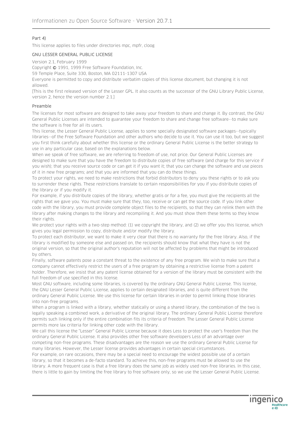#### Part 4)

This license applies to files under directories mpc, mpfr, cloog

#### GNU LESSER GENERAL PUBLIC LICENSE

Version 2.1, February 1999

Copyright © 1991, 1999 Free Software Foundation, Inc.

59 Temple Place, Suite 330, Boston, MA 02111-1307 USA

Everyone is permitted to copy and distribute verbatim copies of this license document, but changing it is not allowed.

[This is the first released version of the Lesser GPL. It also counts as the successor of the GNU Library Public License, version 2, hence the version number 2.1.]

#### Preamble

The licenses for most software are designed to take away your freedom to share and change it. By contrast, the GNU General Public Licenses are intended to guarantee your freedom to share and change free software--to make sure the software is free for all its users.

This license, the Lesser General Public License, applies to some specially designated software packages--typically libraries--of the Free Software Foundation and other authors who decide to use it. You can use it too, but we suggest you first think carefully about whether this license or the ordinary General Public License is the better strategy to use in any particular case, based on the explanations below.

When we speak of free software, we are referring to freedom of use, not price. Our General Public Licenses are designed to make sure that you have the freedom to distribute copies of free software (and charge for this service if you wish); that you receive source code or can get it if you want it; that you can change the software and use pieces of it in new free programs; and that you are informed that you can do these things.

To protect your rights, we need to make restrictions that forbid distributors to deny you these rights or to ask you to surrender these rights. These restrictions translate to certain responsibilities for you if you distribute copies of the library or if you modify it.

For example, if you distribute copies of the library, whether gratis or for a fee, you must give the recipients all the rights that we gave you. You must make sure that they, too, receive or can get the source code. If you link other code with the library, you must provide complete object files to the recipients, so that they can relink them with the library after making changes to the library and recompiling it. And you must show them these terms so they know their rights.

We protect your rights with a two-step method: (1) we copyright the library, and (2) we offer you this license, which gives you legal permission to copy, distribute and/or modify the library.

To protect each distributor, we want to make it very clear that there is no warranty for the free library. Also, if the library is modified by someone else and passed on, the recipients should know that what they have is not the original version, so that the original author's reputation will not be affected by problems that might be introduced by others.

Finally, software patents pose a constant threat to the existence of any free program. We wish to make sure that a company cannot effectively restrict the users of a free program by obtaining a restrictive license from a patent holder. Therefore, we insist that any patent license obtained for a version of the library must be consistent with the full freedom of use specified in this license.

Most GNU software, including some libraries, is covered by the ordinary GNU General Public License. This license, the GNU Lesser General Public License, applies to certain designated libraries, and is quite different from the ordinary General Public License. We use this license for certain libraries in order to permit linking those libraries into non-free programs.

When a program is linked with a library, whether statically or using a shared library, the combination of the two is legally speaking a combined work, a derivative of the original library. The ordinary General Public License therefore permits such linking only if the entire combination fits its criteria of freedom. The Lesser General Public License permits more lax criteria for linking other code with the library.

We call this license the "Lesser" General Public License because it does Less to protect the user's freedom than the ordinary General Public License. It also provides other free software developers Less of an advantage over competing non-free programs. These disadvantages are the reason we use the ordinary General Public License for many libraries. However, the Lesser license provides advantages in certain special circumstances.

For example, on rare occasions, there may be a special need to encourage the widest possible use of a certain library, so that it becomes a de-facto standard. To achieve this, non-free programs must be allowed to use the library. A more frequent case is that a free library does the same job as widely used non-free libraries. In this case, there is little to gain by limiting the free library to free software only, so we use the Lesser General Public License.

**Ingenico**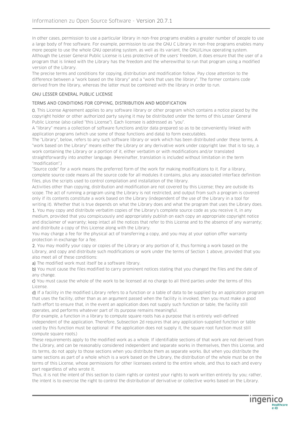In other cases, permission to use a particular library in non-free programs enables a greater number of people to use a large body of free software. For example, permission to use the GNU C Library in non-free programs enables many more people to use the whole GNU operating system, as well as its variant, the GNU/Linux operating system. Although the Lesser General Public License is Less protective of the users' freedom, it does ensure that the user of a program that is linked with the Library has the freedom and the wherewithal to run that program using a modified version of the Library.

The precise terms and conditions for copying, distribution and modification follow. Pay close attention to the difference between a "work based on the library" and a "work that uses the library". The former contains code derived from the library, whereas the latter must be combined with the library in order to run.

#### GNU LESSER GENERAL PUBLIC LICENSE

#### TERMS AND CONDITIONS FOR COPYING, DISTRIBUTION AND MODIFICATION

0. This License Agreement applies to any software library or other program which contains a notice placed by the copyright holder or other authorized party saying it may be distributed under the terms of this Lesser General Public License (also called "this License"). Each licensee is addressed as "you".

A "library" means a collection of software functions and/or data prepared so as to be conveniently linked with application programs (which use some of those functions and data) to form executables.

The "Library", below, refers to any such software library or work which has been distributed under these terms. A "work based on the Library" means either the Library or any derivative work under copyright law: that is to say, a work containing the Library or a portion of it, either verbatim or with modifications and/or translated straightforwardly into another language. (Hereinafter, translation is included without limitation in the term "modification".)

"Source code" for a work means the preferred form of the work for making modifications to it. For a library, complete source code means all the source code for all modules it contains, plus any associated interface definition files, plus the scripts used to control compilation and installation of the library.

Activities other than copying, distribution and modification are not covered by this License; they are outside its scope. The act of running a program using the Library is not restricted, and output from such a program is covered only if its contents constitute a work based on the Library (independent of the use of the Library in a tool for

writing it). Whether that is true depends on what the Library does and what the program that uses the Library does. 1. You may copy and distribute verbatim copies of the Library's complete source code as you receive it, in any medium, provided that you conspicuously and appropriately publish on each copy an appropriate copyright notice and disclaimer of warranty; keep intact all the notices that refer to this License and to the absence of any warranty; and distribute a copy of this License along with the Library.

You may charge a fee for the physical act of transferring a copy, and you may at your option offer warranty protection in exchange for a fee.

2. You may modify your copy or copies of the Library or any portion of it, thus forming a work based on the Library, and copy and distribute such modifications or work under the terms of Section 1 above, provided that you also meet all of these conditions:

a) The modified work must itself be a software library.

b) You must cause the files modified to carry prominent notices stating that you changed the files and the date of any change.

c) You must cause the whole of the work to be licensed at no charge to all third parties under the terms of this License.

d) If a facility in the modified Library refers to a function or a table of data to be supplied by an application program that uses the facility, other than as an argument passed when the facility is invoked, then you must make a good faith effort to ensure that, in the event an application does not supply such function or table, the facility still operates, and performs whatever part of its purpose remains meaningful.

(For example, a function in a library to compute square roots has a purpose that is entirely well-defined independent of the application. Therefore, Subsection 2d requires that any application-supplied function or table used by this function must be optional: if the application does not supply it, the square root function must still compute square roots.)

These requirements apply to the modified work as a whole. If identifiable sections of that work are not derived from the Library, and can be reasonably considered independent and separate works in themselves, then this License, and its terms, do not apply to those sections when you distribute them as separate works. But when you distribute the same sections as part of a whole which is a work based on the Library, the distribution of the whole must be on the terms of this License, whose permissions for other licensees extend to the entire whole, and thus to each and every part regardless of who wrote it.

Thus, it is not the intent of this section to claim rights or contest your rights to work written entirely by you; rather, the intent is to exercise the right to control the distribution of derivative or collective works based on the Library.

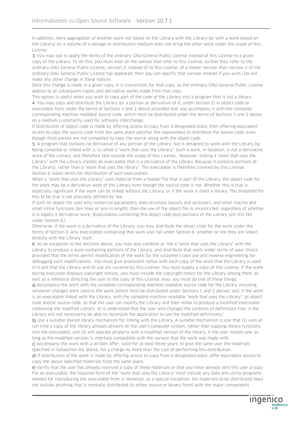In addition, mere aggregation of another work not based on the Library with the Library (or with a work based on the Library) on a volume of a storage or distribution medium does not bring the other work under the scope of this License.

3. You may opt to apply the terms of the ordinary GNU General Public License instead of this License to a given copy of the Library. To do this, you must alter all the notices that refer to this License, so that they refer to the ordinary GNU General Public License, version 2, instead of to this License. (If a newer version than version 2 of the ordinary GNU General Public License has appeared, then you can specify that version instead if you wish.) Do not make any other change in these notices.

Once this change is made in a given copy, it is irreversible for that copy, so the ordinary GNU General Public License applies to all subsequent copies and derivative works made from that copy.

This option is useful when you wish to copy part of the code of the Library into a program that is not a library. 4. You may copy and distribute the Library (or a portion or derivative of it, under Section 2) in object code or executable form under the terms of Sections 1 and 2 above provided that you accompany it with the complete corresponding machine-readable source code, which must be distributed under the terms of Sections 1 and 2 above on a medium customarily used for software interchange.

If distribution of object code is made by offering access to copy from a designated place, then offering equivalent access to copy the source code from the same place satisfies the requirement to distribute the source code, even though third parties are not compelled to copy the source along with the object code.

5. A program that contains no derivative of any portion of the Library, but is designed to work with the Library by being compiled or linked with it, is called a "work that uses the Library". Such a work, in isolation, is not a derivative work of the Library, and therefore falls outside the scope of this License. However, linking a "work that uses the Library" with the Library creates an executable that is a derivative of the Library (because it contains portions of the Library), rather than a "work that uses the library". The executable is therefore covered by this License. Section 6 states terms for distribution of such executables.

When a "work that uses the Library" uses material from a header file that is part of the Library, the object code for the work may be a derivative work of the Library even though the source code is not. Whether this is true is especially significant if the work can be linked without the Library, or if the work is itself a library. The threshold for this to be true is not precisely defined by law.

If such an object file uses only numerical parameters, data structure layouts and accessors, and small macros and small inline functions (ten lines or less in length), then the use of the object file is unrestricted, regardless of whether it is legally a derivative work. (Executables containing this object code plus portions of the Library will still fall under Section 6.)

Otherwise, if the work is a derivative of the Library, you may distribute the object code for the work under the terms of Section 6. Any executables containing that work also fall under Section 6, whether or not they are linked directly with the Library itself.

6. As an exception to the Sections above, you may also combine or link a "work that uses the Library" with the Library to produce a work containing portions of the Library, and distribute that work under terms of your choice, provided that the terms permit modification of the work for the customer's own use and reverse engineering for debugging such modifications. You must give prominent notice with each copy of the work that the Library is used in it and that the Library and its use are covered by this License. You must supply a copy of this License. If the work during execution displays copyright notices, you must include the copyright notice for the Library among them, as well as a reference directing the user to the copy of this License. Also, you must do one of these things:

a) Accompany the work with the complete corresponding machine-readable source code for the Library including whatever changes were used in the work (which must be distributed under Sections 1 and 2 above); and, if the work is an executable linked with the Library, with the complete machine-readable "work that uses the Library", as object code and/or source code, so that the user can modify the Library and then relink to produce a modified executable containing the modified Library. (It is understood that the user who changes the contents of definitions files in the Library will not necessarily be able to recompile the application to use the modified definitions.)

b) Use a suitable shared library mechanism for linking with the Library. A suitable mechanism is one that (1) uses at run time a copy of the library already present on the user's computer system, rather than copying library functions into the executable, and (2) will operate properly with a modified version of the library, if the user installs one, as long as the modified version is interface-compatible with the version that the work was made with.

c) Accompany the work with a written offer, valid for at least three years, to give the same user the materials specified in Subsection 6a, above, for a charge no more than the cost of performing this distribution.

d) If distribution of the work is made by offering access to copy from a designated place, offer equivalent access to copy the above specified materials from the same place.

e) Verify that the user has already received a copy of these materials or that you have already sent this user a copy. For an executable, the required form of the "work that uses the Library" must include any data and utility programs needed for reproducing the executable from it. However, as a special exception, the materials to be distributed need not include anything that is normally distributed (in either source or binary form) with the major components

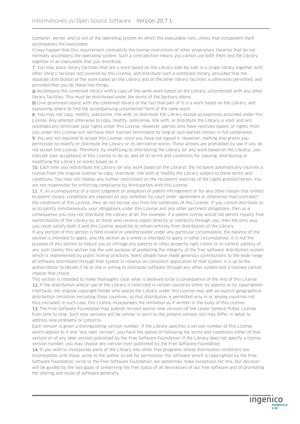(compiler, kernel, and so on) of the operating system on which the executable runs, unless that component itself accompanies the executable.

It may happen that this requirement contradicts the license restrictions of other proprietary libraries that do not normally accompany the operating system. Such a contradiction means you cannot use both them and the Library together in an executable that you distribute.

7. You may place library facilities that are a work based on the Library side-by-side in a single library together with other library facilities not covered by this License, and distribute such a combined library, provided that the separate distribution of the work based on the Library and of the other library facilities is otherwise permitted, and provided that you do these two things:

a) Accompany the combined library with a copy of the same work based on the Library, uncombined with any other library facilities. This must be distributed under the terms of the Sections above.

b) Give prominent notice with the combined library of the fact that part of it is a work based on the Library, and explaining where to find the accompanying uncombined form of the same work.

8. You may not copy, modify, sublicense, link with, or distribute the Library except as expressly provided under this License. Any attempt otherwise to copy, modify, sublicense, link with, or distribute the Library is void, and will automatically terminate your rights under this License. However, parties who have received copies, or rights, from you under this License will not have their licenses terminated so long as such parties remain in full compliance.

9. You are not required to accept this License, since you have not signed it. However, nothing else grants you permission to modify or distribute the Library or its derivative works. These actions are prohibited by law if you do not accept this License. Therefore, by modifying or distributing the Library (or any work based on the Library), you indicate your acceptance of this License to do so, and all its terms and conditions for copying, distributing or modifying the Library or works based on it.

10. Each time you redistribute the Library (or any work based on the Library), the recipient automatically receives a license from the original licensor to copy, distribute, link with or modify the Library subject to these terms and conditions. You may not impose any further restrictions on the recipients' exercise of the rights granted herein. You are not responsible for enforcing compliance by third parties with this License.

11. If, as a consequence of a court judgment or allegation of patent infringement or for any other reason (not limited to patent issues), conditions are imposed on you (whether by court order, agreement or otherwise) that contradict the conditions of this License, they do not excuse you from the conditions of this License. If you cannot distribute so as to satisfy simultaneously your obligations under this License and any other pertinent obligations, then as a consequence you may not distribute the Library at all. For example, if a patent license would not permit royalty-free redistribution of the Library by all those who receive copies directly or indirectly through you, then the only way you could satisfy both it and this License would be to refrain entirely from distribution of the Library.

If any portion of this section is held invalid or unenforceable under any particular circumstance, the balance of the section is intended to apply, and the section as a whole is intended to apply in other circumstances. It is not the purpose of this section to induce you to infringe any patents or other property right claims or to contest validity of any such claims; this section has the sole purpose of protecting the integrity of the free software distribution system which is implemented by public license practices. Many people have made generous contributions to the wide range of software distributed through that system in reliance on consistent application of that system; it is up to the author/donor to decide if he or she is willing to distribute software through any other system and a licensee cannot impose that choice.

This section is intended to make thoroughly clear what is believed to be a consequence of the rest of this License. 12. If the distribution and/or use of the Library is restricted in certain countries either by patents or by copyrighted interfaces, the original copyright holder who places the Library under this License may add an explicit geographical distribution limitation excluding those countries, so that distribution is permitted only in or among countries not thus excluded. In such case, this License incorporates the limitation as if written in the body of this License.

13. The Free Software Foundation may publish revised and/or new versions of the Lesser General Public License from time to time. Such new versions will be similar in spirit to the present version, but may differ in detail to address new problems or concerns.

Each version is given a distinguishing version number. If the Library specifies a version number of this License which applies to it and "any later version", you have the option of following the terms and conditions either of that version or of any later version published by the Free Software Foundation. If the Library does not specify a license version number, you may choose any version ever published by the Free Software Foundation.

14. If you wish to incorporate parts of the Library into other free programs whose distribution conditions are incompatible with these, write to the author to ask for permission. For software which is copyrighted by the Free Software Foundation, write to the Free Software Foundation; we sometimes make exceptions for this. Our decision will be guided by the two goals of preserving the free status of all derivatives of our free software and of promoting the sharing and reuse of software generally.

ingenico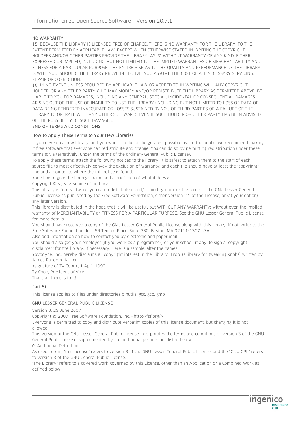#### NO WARRANTY

15. BECAUSE THE LIBRARY IS LICENSED FREE OF CHARGE, THERE IS NO WARRANTY FOR THE LIBRARY, TO THE EXTENT PERMITTED BY APPLICABLE LAW. EXCEPT WHEN OTHERWISE STATED IN WRITING THE COPYRIGHT HOLDERS AND/OR OTHER PARTIES PROVIDE THE LIBRARY "AS IS" WITHOUT WARRANTY OF ANY KIND, EITHER EXPRESSED OR IMPLIED, INCLUDING, BUT NOT LIMITED TO, THE IMPLIED WARRANTIES OF MERCHANTABILITY AND FITNESS FOR A PARTICULAR PURPOSE. THE ENTIRE RISK AS TO THE QUALITY AND PERFORMANCE OF THE LIBRARY IS WITH YOU. SHOULD THE LIBRARY PROVE DEFECTIVE, YOU ASSUME THE COST OF ALL NECESSARY SERVICING, REPAIR OR CORRECTION.

16. IN NO EVENT UNLESS REQUIRED BY APPLICABLE LAW OR AGREED TO IN WRITING WILL ANY COPYRIGHT HOLDER, OR ANY OTHER PARTY WHO MAY MODIFY AND/OR REDISTRIBUTE THE LIBRARY AS PERMITTED ABOVE, BE LIABLE TO YOU FOR DAMAGES, INCLUDING ANY GENERAL, SPECIAL, INCIDENTAL OR CONSEQUENTIAL DAMAGES ARISING OUT OF THE USE OR INABILITY TO USE THE LIBRARY (INCLUDING BUT NOT LIMITED TO LOSS OF DATA OR DATA BEING RENDERED INACCURATE OR LOSSES SUSTAINED BY YOU OR THIRD PARTIES OR A FAILURE OF THE LIBRARY TO OPERATE WITH ANY OTHER SOFTWARE), EVEN IF SUCH HOLDER OR OTHER PARTY HAS BEEN ADVISED OF THE POSSIBILITY OF SUCH DAMAGES.

#### END OF TERMS AND CONDITIONS

#### How to Apply These Terms to Your New Libraries

If you develop a new library, and you want it to be of the greatest possible use to the public, we recommend making it free software that everyone can redistribute and change. You can do so by permitting redistribution under these terms (or, alternatively, under the terms of the ordinary General Public License).

To apply these terms, attach the following notices to the library. It is safest to attach them to the start of each source file to most effectively convey the exclusion of warranty; and each file should have at least the "copyright" line and a pointer to where the full notice is found.

<one line to give the library's name and a brief idea of what it does.>

Copyright  $\odot$  <year> <name of author>

This library is free software; you can redistribute it and/or modify it under the terms of the GNU Lesser General Public License as published by the Free Software Foundation; either version 2.1 of the License, or (at your option) any later version.

This library is distributed in the hope that it will be useful, but WITHOUT ANY WARRANTY; without even the implied warranty of MERCHANTABILITY or FITNESS FOR A PARTICULAR PURPOSE. See the GNU Lesser General Public License for more details.

You should have received a copy of the GNU Lesser General Public License along with this library; if not, write to the Free Software Foundation, Inc., 59 Temple Place, Suite 330, Boston, MA 02111-1307 USA

Also add information on how to contact you by electronic and paper mail.

You should also get your employer (if you work as a programmer) or your school, if any, to sign a "copyright disclaimer" for the library, if necessary. Here is a sample; alter the names:

Yoyodyne, Inc., hereby disclaims all copyright interest in the library `Frob' (a library for tweaking knobs) written by James Random Hacker.

<signature of Ty Coon>, 1 April 1990 Ty Coon, President of Vice

That's all there is to it!

#### Part 5)

This license applies to files under directories binutils, gcc, gcb, gmp

#### GNU LESSER GENERAL PUBLIC LICENSE

Version 3, 29 June 2007

Copyright © 2007 Free Software Foundation, Inc. <http://fsf.org/>

Everyone is permitted to copy and distribute verbatim copies of this license document, but changing it is not allowed.

This version of the GNU Lesser General Public License incorporates the terms and conditions of version 3 of the GNU General Public License, supplemented by the additional permissions listed below.

0. Additional Definitions.

As used herein, "this License" refers to version 3 of the GNU Lesser General Public License, and the "GNU GPL" refers to version 3 of the GNU General Public License.

"The Library" refers to a covered work governed by this License, other than an Application or a Combined Work as defined below.

ingenico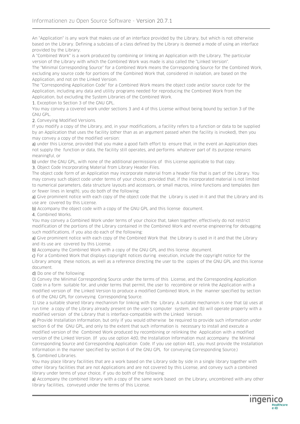An "Application" is any work that makes use of an interface provided by the Library, but which is not otherwise based on the Library. Defining a subclass of a class defined by the Library is deemed a mode of using an interface provided by the Library.

A "Combined Work" is a work produced by combining or linking an Application with the Library. The particular version of the Library with which the Combined Work was made is also called the "Linked Version".

The "Minimal Corresponding Source" for a Combined Work means the Corresponding Source for the Combined Work, excluding any source code for portions of the Combined Work that, considered in isolation, are based on the Application, and not on the Linked Version.

The "Corresponding Application Code" for a Combined Work means the object code and/or source code for the Application, including any data and utility programs needed for reproducing the Combined Work from the Application, but excluding the System Libraries of the Combined Work.

1. Exception to Section 3 of the GNU GPL.

You may convey a covered work under sections 3 and 4 of this License without being bound by section 3 of the GNU GPL.

2. Conveying Modified Versions.

If you modify a copy of the Library, and, in your modifications, a facility refers to a function or data to be supplied by an Application that uses the facility (other than as an argument passed when the facility is invoked), then you may convey a copy of the modified version:

a) under this License, provided that you make a good faith effort to ensure that, in the event an Application does not supply the function or data, the facility still operates, and performs whatever part of its purpose remains meaningful, or

b) under the GNU GPL, with none of the additional permissions of this License applicable to that copy.

3. Object Code Incorporating Material from Library Header Files.

The object code form of an Application may incorporate material from a header file that is part of the Library. You may convey such object code under terms of your choice, provided that, if the incorporated material is not limited to numerical parameters, data structure layouts and accessors, or small macros, inline functions and templates (ten or fewer lines in length), you do both of the following:

a) Give prominent notice with each copy of the object code that the Library is used in it and that the Library and its use are covered by this License.

b) Accompany the object code with a copy of the GNU GPL and this license document.

4. Combined Works.

You may convey a Combined Work under terms of your choice that, taken together, effectively do not restrict modification of the portions of the Library contained in the Combined Work and reverse engineering for debugging such modifications, if you also do each of the following:

a) Give prominent notice with each copy of the Combined Work that the Library is used in it and that the Library and its use are covered by this License.

b) Accompany the Combined Work with a copy of the GNU GPL and this license document.

c) For a Combined Work that displays copyright notices during execution, include the copyright notice for the Library among these notices, as well as a reference directing the user to the copies of the GNU GPL and this license document.

d) Do one of the following:

0) Convey the Minimal Corresponding Source under the terms of this License, and the Corresponding Application Code in a form suitable for, and under terms that permit, the user to recombine or relink the Application with a modified version of the Linked Version to produce a modified Combined Work, in the manner specified by section 6 of the GNU GPL for conveying Corresponding Source.

1) Use a suitable shared library mechanism for linking with the Library. A suitable mechanism is one that (a) uses at run time a copy of the Library already present on the user's computer system, and (b) will operate properly with a modified version of the Library that is interface-compatible with the Linked Version.

e) Provide Installation Information, but only if you would otherwise be required to provide such information under section 6 of the GNU GPL, and only to the extent that such information is necessary to install and execute a modified version of the Combined Work produced by recombining or relinking the Application with a modified version of the Linked Version. (If you use option 4d0, the Installation Information must accompany the Minimal Corresponding Source and Corresponding Application Code. If you use option 4d1, you must provide the Installation Information in the manner specified by section 6 of the GNU GPL for conveying Corresponding Source.) 5. Combined Libraries.

You may place library facilities that are a work based on the Library side by side in a single library together with other library facilities that are not Applications and are not covered by this License, and convey such a combined library under terms of your choice, if you do both of the following:

a) Accompany the combined library with a copy of the same work based on the Library, uncombined with any other library facilities, conveyed under the terms of this License.

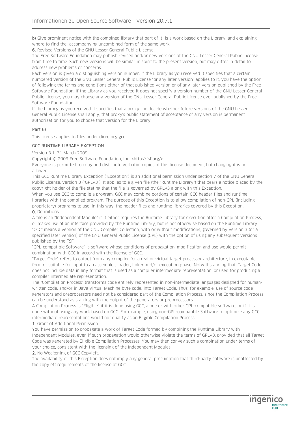b) Give prominent notice with the combined library that part of it is a work based on the Library, and explaining where to find the accompanying uncombined form of the same work.

6. Revised Versions of the GNU Lesser General Public License.

The Free Software Foundation may publish revised and/or new versions of the GNU Lesser General Public License from time to time. Such new versions will be similar in spirit to the present version, but may differ in detail to address new problems or concerns.

Each version is given a distinguishing version number. If the Library as you received it specifies that a certain numbered version of the GNU Lesser General Public License "or any later version" applies to it, you have the option of following the terms and conditions either of that published version or of any later version published by the Free Software Foundation. If the Library as you received it does not specify a version number of the GNU Lesser General Public License, you may choose any version of the GNU Lesser General Public License ever published by the Free Software Foundation.

If the Library as you received it specifies that a proxy can decide whether future versions of the GNU Lesser General Public License shall apply, that proxy's public statement of acceptance of any version is permanent authorization for you to choose that version for the Library.

#### Part 6)

This license applies to files under directory gcc

#### GCC RUNTIME LIBRARY EXCEPTION

Version 3.1, 31 March 2009

Copyright © 2009 Free Software Foundation, Inc. <http://fsf.org/>

Everyone is permitted to copy and distribute verbatim copies of this license document, but changing it is not allowed.

This GCC Runtime Library Exception ("Exception") is an additional permission under section 7 of the GNU General Public License, version 3 ("GPLv3"). It applies to a given file (the "Runtime Library") that bears a notice placed by the copyright holder of the file stating that the file is governed by GPLv3 along with this Exception.

When you use GCC to compile a program, GCC may combine portions of certain GCC header files and runtime libraries with the compiled program. The purpose of this Exception is to allow compilation of non-GPL (including proprietary) programs to use, in this way, the header files and runtime libraries covered by this Exception. 0. Definitions.

A file is an "Independent Module" if it either requires the Runtime Library for execution after a Compilation Process, or makes use of an interface provided by the Runtime Library, but is not otherwise based on the Runtime Library. "GCC" means a version of the GNU Compiler Collection, with or without modifications, governed by version 3 (or a specified later version) of the GNU General Public License (GPL) with the option of using any subsequent versions published by the FSF.

"GPL-compatible Software" is software whose conditions of propagation, modification and use would permit combination with GCC in accord with the license of GCC.

"Target Code" refers to output from any compiler for a real or virtual target processor architecture, in executable form or suitable for input to an assembler, loader, linker and/or execution phase. Notwithstanding that, Target Code does not include data in any format that is used as a compiler intermediate representation, or used for producing a compiler intermediate representation.

The "Compilation Process" transforms code entirely represented in non-intermediate languages designed for humanwritten code, and/or in Java Virtual Machine byte code, into Target Code. Thus, for example, use of source code generators and preprocessors need not be considered part of the Compilation Process, since the Compilation Process can be understood as starting with the output of the generators or preprocessors.

A Compilation Process is "Eligible" if it is done using GCC, alone or with other GPL-compatible software, or if it is done without using any work based on GCC. For example, using non-GPL-compatible Software to optimize any GCC intermediate representations would not qualify as an Eligible Compilation Process.

1. Grant of Additional Permission.

You have permission to propagate a work of Target Code formed by combining the Runtime Library with Independent Modules, even if such propagation would otherwise violate the terms of GPLv3, provided that all Target Code was generated by Eligible Compilation Processes. You may then convey such a combination under terms of your choice, consistent with the licensing of the Independent Modules.

2. No Weakening of GCC Copyleft.

The availability of this Exception does not imply any general presumption that third-party software is unaffected by the copyleft requirements of the license of GCC.

**Ingenic**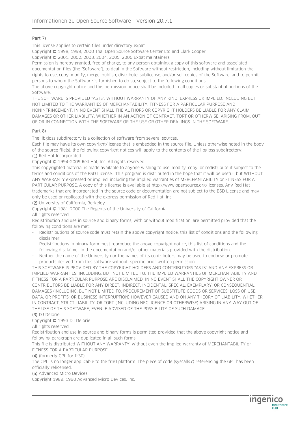## Part 7)

This license applies to certain files under directory expat

Copyright © 1998, 1999, 2000 Thai Open Source Software Center Ltd and Clark Cooper

Copyright © 2001, 2002, 2003, 2004, 2005, 2006 Expat maintainers.

Permission is hereby granted, free of charge, to any person obtaining a copy of this software and associated documentation files (the "Software"), to deal in the Software without restriction, including without limitation the rights to use, copy, modify, merge, publish, distribute, sublicense, and/or sell copies of the Software, and to permit persons to whom the Software is furnished to do so, subject to the following conditions:

The above copyright notice and this permission notice shall be included in all copies or substantial portions of the Software.

THE SOFTWARE IS PROVIDED "AS IS", WITHOUT WARRANTY OF ANY KIND, EXPRESS OR IMPLIED, INCLUDING BUT NOT LIMITED TO THE WARRANTIES OF MERCHANTABILITY, FITNESS FOR A PARTICULAR PURPOSE AND NONINFRINGEMENT. IN NO EVENT SHALL THE AUTHORS OR COPYRIGHT HOLDERS BE LIABLE FOR ANY CLAIM, DAMAGES OR OTHER LIABILITY, WHETHER IN AN ACTION OF CONTRACT, TORT OR OTHERWISE, ARISING FROM, OUT OF OR IN CONNECTION WITH THE SOFTWARE OR THE USE OR OTHER DEALINGS IN THE SOFTWARE.

#### Part 8)

The libgloss subdirectory is a collection of software from several sources.

Each file may have its own copyright/license that is embedded in the source file. Unless otherwise noted in the body of the source file(s), the following copyright notices will apply to the contents of the libgloss subdirectory:

(1) Red Hat Incorporated

Copyright © 1994-2009 Red Hat, Inc. All rights reserved.

This copyrighted material is made available to anyone wishing to use, modify, copy, or redistribute it subject to the terms and conditions of the BSD License. This program is distributed in the hope that it will be useful, but WITHOUT ANY WARRANTY expressed or implied, including the implied warranties of MERCHANTABILITY or FITNESS FOR A PARTICULAR PURPOSE. A copy of this license is available at http://www.opensource.org/licenses. Any Red Hat trademarks that are incorporated in the source code or documentation are not subject to the BSD License and may only be used or replicated with the express permission of Red Hat, Inc.

(2) University of California, Berkeley

Copyright © 1981-2000 The Regents of the University of California.

All rights reserved.

Redistribution and use in source and binary forms, with or without modification, are permitted provided that the following conditions are met:

- Redistributions of source code must retain the above copyright notice, this list of conditions and the following disclaimer.
- Redistributions in binary form must reproduce the above copyright notice, this list of conditions and the following disclaimer in the documentation and/or other materials provided with the distribution.
- Neither the name of the University nor the names of its contributors may be used to endorse or promote products derived from this software without specific prior written permission.

THIS SOFTWARE IS PROVIDED BY THE COPYRIGHT HOLDERS AND CONTRIBUTORS "AS IS" AND ANY EXPRESS OR IMPLIED WARRANTIES, INCLUDING, BUT NOT LIMITED TO, THE IMPLIED WARRANTIES OF MERCHANTABILITY AND FITNESS FOR A PARTICULAR PURPOSE ARE DISCLAIMED. IN NO EVENT SHALL THE COPYRIGHT OWNER OR CONTRIBUTORS BE LIABLE FOR ANY DIRECT, INDIRECT, INCIDENTAL, SPECIAL, EXEMPLARY, OR CONSEQUENTIAL DAMAGES (INCLUDING, BUT NOT LIMITED TO, PROCUREMENT OF SUBSTITUTE GOODS OR SERVICES; LOSS OF USE, DATA, OR PROFITS; OR BUSINESS INTERRUPTION) HOWEVER CAUSED AND ON ANY THEORY OF LIABILITY, WHETHER IN CONTRACT, STRICT LIABILITY, OR TORT (INCLUDING NEGLIGENCE OR OTHERWISE) ARISING IN ANY WAY OUT OF THE USE OF THIS SOFTWARE, EVEN IF ADVISED OF THE POSSIBILITY OF SUCH DAMAGE.

#### (3) DJ Delorie

Copyright © 1993 DJ Delorie

All rights reserved.

Redistribution and use in source and binary forms is permitted provided that the above copyright notice and following paragraph are duplicated in all such forms.

This file is distributed WITHOUT ANY WARRANTY; without even the implied warranty of MERCHANTABILITY or FITNESS FOR A PARTICULAR PURPOSE.

(4) (formerly GPL for fr30)

The GPL is no longer applicable to the fr30 platform. The piece of code (syscalls.c) referencing the GPL has been officially relicensed.

(5) Advanced Micro Devices

Copyright 1989, 1990 Advanced Micro Devices, Inc.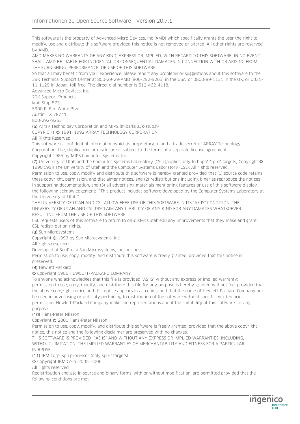This software is the property of Advanced Micro Devices, Inc (AMD) which specifically grants the user the right to modify, use and distribute this software provided this notice is not removed or altered. All other rights are reserved by AMD.

AMD MAKES NO WARRANTY OF ANY KIND, EXPRESS OR IMPLIED, WITH REGARD TO THIS SOFTWARE. IN NO EVENT SHALL AMD BE LIABLE FOR INCIDENTAL OR CONSEQUENTIAL DAMAGES IN CONNECTION WITH OR ARISING FROM THE FURNISHING, PERFORMANCE, OR USE OF THIS SOFTWARE.

So that all may benefit from your experience, please report any problems or suggestions about this software to the 29K Technical Support Center at 800-29-29-AMD (800-292-9263) in the USA, or 0800-89-1131 in the UK, or 0031- 11-1129 in Japan, toll free. The direct dial number is 512-462-4118.

Advanced Micro Devices, Inc.

29K Support Products Mail Stop 573 5900 E. Ben White Blvd. Austin, TX 78741

800-292-9263

(6) Array Technology Corporation and MIPS (mips/lsi33k-stub.h) COPYRIGHT © 1991, 1992 ARRAY TECHNOLOGY CORPORATION

All Rights Reserved

This software is confidential information which is proprietary to and a trade secret of ARRAY Technology Corporation. Use, duplication, or disclosure is subject to the terms of a separate license agreement. Copyright 1985 by MIPS Computer Systems, Inc.

(7) University of Utah and the Computer Systems Laboratory (CSL) [applies only to hppa\*-\*-pro\* targets] Copyright © 1990,1994 The University of Utah and the Computer Systems Laboratory (CSL). All rights reserved.

Permission to use, copy, modify and distribute this software is hereby granted provided that (1) source code retains these copyright, permission, and disclaimer notices, and (2) redistributions including binaries reproduce the notices in supporting documentation, and (3) all advertising materials mentioning features or use of this software display the following acknowledgement: ``This product includes software developed by the Computer Systems Laboratory at the University of Utah.''

THE UNIVERSITY OF UTAH AND CSL ALLOW FREE USE OF THIS SOFTWARE IN ITS "AS IS" CONDITION. THE UNIVERSITY OF UTAH AND CSL DISCLAIM ANY LIABILITY OF ANY KIND FOR ANY DAMAGES WHATSOEVER RESULTING FROM THE USE OF THIS SOFTWARE.

CSL requests users of this software to return to csl-dist@cs.utah.edu any improvements that they make and grant CSL redistribution rights.

(8) Sun Microsystems

Copyright © 1993 by Sun Microsystems, Inc.

All rights reserved.

Developed at SunPro, a Sun Microsystems, Inc. business.

Permission to use, copy, modify, and distribute this software is freely granted, provided that this notice is preserved.

(9) Hewlett Packard

© Copyright 1986 HEWLETT-PACKARD COMPANY

To anyone who acknowledges that this file is provided "AS IS" without any express or implied warranty: permission to use, copy, modify, and distribute this file for any purpose is hereby granted without fee, provided that the above copyright notice and this notice appears in all copies, and that the name of Hewlett-Packard Company not be used in advertising or publicity pertaining to distribution of the software without specific, written prior permission. Hewlett-Packard Company makes no representations about the suitability of this software for any purpose.

(10) Hans-Peter Nilsson

Copyright © 2001 Hans-Peter Nilsson

Permission to use, copy, modify, and distribute this software is freely granted, provided that the above copyright notice, this notice and the following disclaimer are preserved with no changes.

THIS SOFTWARE IS PROVIDED ``AS IS'' AND WITHOUT ANY EXPRESS OR IMPLIED WARRANTIES, INCLUDING, WITHOUT LIMITATION, THE IMPLIED WARRANTIES OF MERCHANTABILITY AND FITNESS FOR A PARTICULAR **PURPOSE** 

(11) IBM Corp. spu processor (only spu-\* targets)

© Copyright IBM Corp. 2005, 2006

All rights reserved.

Redistribution and use in source and binary forms, with or without modification, are permitted provided that the following conditions are met:

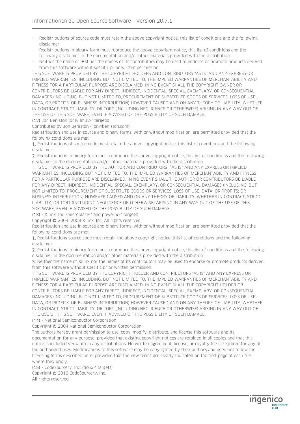- Redistributions of source code must retain the above copyright notice, this list of conditions and the following disclaimer.
- Redistributions in binary form must reproduce the above copyright notice, this list of conditions and the following disclaimer in the documentation and/or other materials provided with the distribution.
- Neither the name of IBM nor the names of its contributors may be used to endorse or promote products derived from this software without specific prior written permission.

THIS SOFTWARE IS PROVIDED BY THE COPYRIGHT HOLDERS AND CONTRIBUTORS "AS IS" AND ANY EXPRESS OR IMPLIED WARRANTIES, INCLUDING, BUT NOT LIMITED TO, THE IMPLIED WARRANTIES OF MERCHANTABILITY AND FITNESS FOR A PARTICULAR PURPOSE ARE DISCLAIMED. IN NO EVENT SHALL THE COPYRIGHT OWNER OR CONTRIBUTORS BE LIABLE FOR ANY DIRECT, INDIRECT, INCIDENTAL, SPECIAL, EXEMPLARY, OR CONSEQUENTIAL DAMAGES (INCLUDING, BUT NOT LIMITED TO, PROCUREMENT OF SUBSTITUTE GOODS OR SERVICES; LOSS OF USE, DATA, OR PROFITS; OR BUSINESS INTERRUPTION) HOWEVER CAUSED AND ON ANY THEORY OF LIABILITY, WHETHER IN CONTRACT, STRICT LIABILITY, OR TORT (INCLUDING NEGLIGENCE OR OTHERWISE) ARISING IN ANY WAY OUT OF THE USE OF THIS SOFTWARE, EVEN IF ADVISED OF THE POSSIBILITY OF SUCH DAMAGE.

(12) Jon Beniston (only lm32-\* targets)

Contributed by Jon Beniston <jon@beniston.com>

Redistribution and use in source and binary forms, with or without modification, are permitted provided that the following conditions are met:

1. Redistributions of source code must retain the above copyright notice, this list of conditions and the following disclaimer.

2. Redistributions in binary form must reproduce the above copyright notice, this list of conditions and the following disclaimer in the documentation and/or other materials provided with the distribution.

THIS SOFTWARE IS PROVIDED BY THE AUTHOR AND CONTRIBUTORS ``AS IS'' AND ANY EXPRESS OR IMPLIED WARRANTIES, INCLUDING, BUT NOT LIMITED TO, THE IMPLIED WARRANTIES OF MERCHANTABILITY AND FITNESS FOR A PARTICULAR PURPOSE ARE DISCLAIMED. IN NO EVENT SHALL THE AUTHOR OR CONTRIBUTORS BE LIABLE FOR ANY DIRECT, INDIRECT, INCIDENTAL, SPECIAL, EXEMPLARY, OR CONSEQUENTIAL DAMAGES (INCLUDING, BUT NOT LIMITED TO, PROCUREMENT OF SUBSTITUTE GOODS OR SERVICES; LOSS OF USE, DATA, OR PROFITS; OR BUSINESS INTERRUPTION) HOWEVER CAUSED AND ON ANY THEORY OF LIABILITY, WHETHER IN CONTRACT, STRICT LIABILITY, OR TORT (INCLUDING NEGLIGENCE OR OTHERWISE) ARISING IN ANY WAY OUT OF THE USE OF THIS SOFTWARE, EVEN IF ADVISED OF THE POSSIBILITY OF SUCH DAMAGE.

(13) - Xilinx, Inc. (microblaze-\* and powerpc-\* targets)

Copyright © 2004, 2009 Xilinx, Inc. All rights reserved.

Redistribution and use in source and binary forms, with or without modification, are permitted provided that the following conditions are met:

1. Redistributions source code must retain the above copyright notice, this list of conditions and the following disclaimer.

2. Redistributions in binary form must reproduce the above copyright notice, this list of conditions and the following disclaimer in the documentation and/or other materials provided with the distribution.

3. Neither the name of Xilinx nor the names of its contributors may be used to endorse or promote products derived from this software without specific prior written permission.

THIS SOFTWARE IS PROVIDED BY THE COPYRIGHT HOLDER AND CONTRIBUTORS "AS IS" AND ANY EXPRESS OR IMPLIED WARRANTIES, INCLUDING, BUT NOT LIMITED TO, THE IMPLIED WARRANTIES OF MERCHANTABILITY AND FITNESS FOR A PARTICULAR PURPOSE ARE DISCLAIMED. IN NO EVENT SHALL THE COPYRIGHT HOLDER OR CONTRIBUTORS BE LIABLE FOR ANY DIRECT, INDIRECT, INCIDENTAL, SPECIAL, EXEMPLARY, OR CONSEQUENTIAL DAMAGES (INCLUDING, BUT NOT LIMITED TO, PROCUREMENT OF SUBSTITUTE GOODS OR SERVICES; LOSS OF USE, DATA, OR PROFITS; OR BUSINESS INTERRUPTION) HOWEVER CAUSED AND ON ANY THEORY OF LIABILITY, WHETHER IN CONTRACT, STRICT LIABILITY, OR TORT (INCLUDING NEGLIGENCE OR OTHERWISE) ARISING IN ANY WAY OUT OF THE USE OF THIS SOFTWARE, EVEN IF ADVISED OF THE POSSIBILITY OF SUCH DAMAGE.

(14) - National Semiconductor Corporation

Copyright © 2004 National Semiconductor Corporation

The authors hereby grant permission to use, copy, modify, distribute, and license this software and its documentation for any purpose, provided that existing copyright notices are retained in all copies and that this notice is included verbatim in any distributions. No written agreement, license, or royalty fee is required for any of the authorized uses. Modifications to this software may be copyrighted by their authors and need not follow the licensing terms described here, provided that the new terms are clearly indicated on the first page of each file where they apply.

(15) - CodeSourcery, Inc. (tic6x-\* targets) Copyright © 2010 CodeSourcery, Inc. All rights reserved.

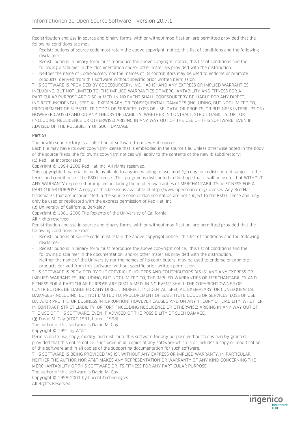Redistribution and use in source and binary forms, with or without modification, are permitted provided that the following conditions are met:

- Redistributions of source code must retain the above copyright notice, this list of conditions and the following disclaimer.
- Redistributions in binary form must reproduce the above copyright notice, this list of conditions and the following disclaimer in the documentation and/or other materials provided with the distribution.
- Neither the name of CodeSourcery nor the names of its contributors may be used to endorse or promote products derived from this software without specific prior written permission.

THIS SOFTWARE IS PROVIDED BY CODESOURCERY, INC. ``AS IS'' AND ANY EXPRESS OR IMPLIED WARRANTIES, INCLUDING, BUT NOT LIMITED TO, THE IMPLIED WARRANTIES OF MERCHANTABILITY AND FITNESS FOR A PARTICULAR PURPOSE ARE DISCLAIMED. IN NO EVENT SHALL CODESOURCERY BE LIABLE FOR ANY DIRECT, INDIRECT, INCIDENTAL, SPECIAL, EXEMPLARY, OR CONSEQUENTIAL DAMAGES (INCLUDING, BUT NOT LIMITED TO, PROCUREMENT OF SUBSTITUTE GOODS OR SERVICES; LOSS OF USE, DATA, OR PROFITS; OR BUSINESS INTERRUPTION) HOWEVER CAUSED AND ON ANY THEORY OF LIABILITY, WHETHER IN CONTRACT, STRICT LIABILITY, OR TORT (INCLUDING NEGLIGENCE OR OTHERWISE) ARISING IN ANY WAY OUT OF THE USE OF THIS SOFTWARE, EVEN IF ADVISED OF THE POSSIBILITY OF SUCH DAMAGE.

#### Part 9)

The newlib subdirectory is a collection of software from several sources.

Each file may have its own copyright/license that is embedded in the source file. Unless otherwise noted in the body of the source file(s), the following copyright notices will apply to the contents of the newlib subdirectory: (1) Red Hat Incorporated

Copyright © 1994-2009 Red Hat, Inc. All rights reserved.

This copyrighted material is made available to anyone wishing to use, modify, copy, or redistribute it subject to the terms and conditions of the BSD License. This program is distributed in the hope that it will be useful, but WITHOUT ANY WARRANTY expressed or implied, including the implied warranties of MERCHANTABILITY or FITNESS FOR A PARTICULAR PURPOSE. A copy of this license is available at http://www.opensource.org/licenses. Any Red Hat trademarks that are incorporated in the source code or documentation are not subject to the BSD License and may only be used or replicated with the express permission of Red Hat, Inc.

(2) University of California, Berkeley

Copyright © 1981-2000 The Regents of the University of California.

All rights reserved.

Redistribution and use in source and binary forms, with or without modification, are permitted provided that the following conditions are met:

- Redistributions of source code must retain the above copyright notice, this list of conditions and the following disclaimer.
- Redistributions in binary form must reproduce the above copyright notice, this list of conditions and the following disclaimer in the documentation and/or other materials provided with the distribution.
- Neither the name of the University nor the names of its contributors may be used to endorse or promote products derived from this software without specific prior written permission.

THIS SOFTWARE IS PROVIDED BY THE COPYRIGHT HOLDERS AND CONTRIBUTORS "AS IS" AND ANY EXPRESS OR IMPLIED WARRANTIES, INCLUDING, BUT NOT LIMITED TO, THE IMPLIED WARRANTIES OF MERCHANTABILITY AND FITNESS FOR A PARTICULAR PURPOSE ARE DISCLAIMED. IN NO EVENT SHALL THE COPYRIGHT OWNER OR CONTRIBUTORS BE LIABLE FOR ANY DIRECT, INDIRECT, INCIDENTAL, SPECIAL, EXEMPLARY, OR CONSEQUENTIAL DAMAGES (INCLUDING, BUT NOT LIMITED TO, PROCUREMENT OF SUBSTITUTE GOODS OR SERVICES; LOSS OF USE, DATA, OR PROFITS; OR BUSINESS INTERRUPTION) HOWEVER CAUSED AND ON ANY THEORY OF LIABILITY, WHETHER IN CONTRACT, STRICT LIABILITY, OR TORT (INCLUDING NEGLIGENCE OR OTHERWISE) ARISING IN ANY WAY OUT OF THE USE OF THIS SOFTWARE, EVEN IF ADVISED OF THE POSSIBILITY OF SUCH DAMAGE.

(3) David M. Gay (AT&T 1991, Lucent 1998)

The author of this software is David M. Gay.

## Copyright © 1991 by AT&T.

Permission to use, copy, modify, and distribute this software for any purpose without fee is hereby granted, provided that this entire notice is included in all copies of any software which is or includes a copy or modification of this software and in all copies of the supporting documentation for such software.

THIS SOFTWARE IS BEING PROVIDED "AS IS", WITHOUT ANY EXPRESS OR IMPLIED WARRANTY. IN PARTICULAR, NEITHER THE AUTHOR NOR AT&T MAKES ANY REPRESENTATION OR WARRANTY OF ANY KIND CONCERNING THE MERCHANTABILITY OF THIS SOFTWARE OR ITS FITNESS FOR ANY PARTICULAR PURPOSE.

The author of this software is David M. Gay.

Copyright © 1998-2001 by Lucent Technologies

All Rights Reserved

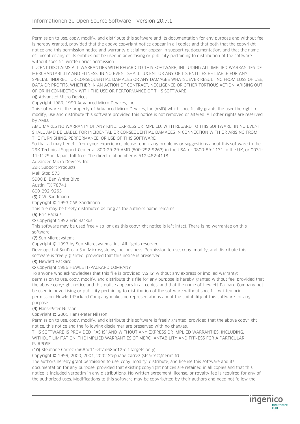Permission to use, copy, modify, and distribute this software and its documentation for any purpose and without fee is hereby granted, provided that the above copyright notice appear in all copies and that both that the copyright notice and this permission notice and warranty disclaimer appear in supporting documentation, and that the name of Lucent or any of its entities not be used in advertising or publicity pertaining to distribution of the software without specific, written prior permission.

LUCENT DISCLAIMS ALL WARRANTIES WITH REGARD TO THIS SOFTWARE, INCLUDING ALL IMPLIED WARRANTIES OF MERCHANTABILITY AND FITNESS. IN NO EVENT SHALL LUCENT OR ANY OF ITS ENTITIES BE LIABLE FOR ANY SPECIAL, INDIRECT OR CONSEQUENTIAL DAMAGES OR ANY DAMAGES WHATSOEVER RESULTING FROM LOSS OF USE, DATA OR PROFITS, WHETHER IN AN ACTION OF CONTRACT, NEGLIGENCE OR OTHER TORTIOUS ACTION, ARISING OUT OF OR IN CONNECTION WITH THE USE OR PERFORMANCE OF THIS SOFTWARE.

(4) Advanced Micro Devices

Copyright 1989, 1990 Advanced Micro Devices, Inc.

This software is the property of Advanced Micro Devices, Inc (AMD) which specifically grants the user the right to modify, use and distribute this software provided this notice is not removed or altered. All other rights are reserved by AMD.

AMD MAKES NO WARRANTY OF ANY KIND, EXPRESS OR IMPLIED, WITH REGARD TO THIS SOFTWARE. IN NO EVENT SHALL AMD BE LIABLE FOR INCIDENTAL OR CONSEQUENTIAL DAMAGES IN CONNECTION WITH OR ARISING FROM THE FURNISHING, PERFORMANCE, OR USE OF THIS SOFTWARE.

So that all may benefit from your experience, please report any problems or suggestions about this software to the 29K Technical Support Center at 800-29-29-AMD (800-292-9263) in the USA, or 0800-89-1131 in the UK, or 0031- 11-1129 in Japan, toll free. The direct dial number is 512-462-4118.

Advanced Micro Devices, Inc.

29K Support Products Mail Stop 573 5900 E. Ben White Blvd. Austin, TX 78741

800-292-9263

(5) C.W. Sandmann

Copyright © 1993 C.W. Sandmann

This file may be freely distributed as long as the author's name remains.

(6) Eric Backus

© Copyright 1992 Eric Backus

This software may be used freely so long as this copyright notice is left intact. There is no warrantee on this software.

#### (7) Sun Microsystems

Copyright © 1993 by Sun Microsystems, Inc. All rights reserved.

Developed at SunPro, a Sun Microsystems, Inc. business. Permission to use, copy, modify, and distribute this software is freely granted, provided that this notice is preserved.

(8) Hewlett Packard

© Copyright 1986 HEWLETT-PACKARD COMPANY

To anyone who acknowledges that this file is provided "AS IS" without any express or implied warranty: permission to use, copy, modify, and distribute this file for any purpose is hereby granted without fee, provided that the above copyright notice and this notice appears in all copies, and that the name of Hewlett-Packard Company not be used in advertising or publicity pertaining to distribution of the software without specific, written prior permission. Hewlett-Packard Company makes no representations about the suitability of this software for any purpose.

(9) Hans-Peter Nilsson

Copyright © 2001 Hans-Peter Nilsson

Permission to use, copy, modify, and distribute this software is freely granted, provided that the above copyright notice, this notice and the following disclaimer are preserved with no changes.

THIS SOFTWARE IS PROVIDED ``AS IS'' AND WITHOUT ANY EXPRESS OR IMPLIED WARRANTIES, INCLUDING, WITHOUT LIMITATION, THE IMPLIED WARRANTIES OF MERCHANTABILITY AND FITNESS FOR A PARTICULAR PURPOSE.

(10) Stephane Carrez (m68hc11-elf/m68hc12-elf targets only)

Copyright © 1999, 2000, 2001, 2002 Stephane Carrez (stcarrez@nerim.fr)

The authors hereby grant permission to use, copy, modify, distribute, and license this software and its documentation for any purpose, provided that existing copyright notices are retained in all copies and that this notice is included verbatim in any distributions. No written agreement, license, or royalty fee is required for any of the authorized uses. Modifications to this software may be copyrighted by their authors and need not follow the

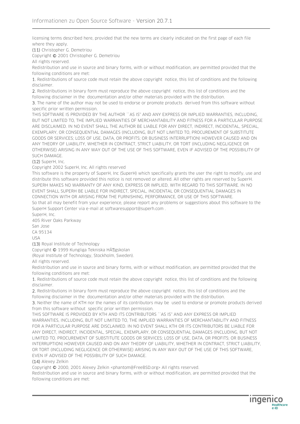licensing terms described here, provided that the new terms are clearly indicated on the first page of each file where they apply.

(11) Christopher G. Demetriou

Copyright © 2001 Christopher G. Demetriou

All rights reserved.

Redistribution and use in source and binary forms, with or without modification, are permitted provided that the following conditions are met:

1. Redistributions of source code must retain the above copyright notice, this list of conditions and the following disclaimer.

2. Redistributions in binary form must reproduce the above copyright notice, this list of conditions and the following disclaimer in the documentation and/or other materials provided with the distribution.

3. The name of the author may not be used to endorse or promote products derived from this software without specific prior written permission.

THIS SOFTWARE IS PROVIDED BY THE AUTHOR ``AS IS'' AND ANY EXPRESS OR IMPLIED WARRANTIES, INCLUDING, BUT NOT LIMITED TO, THE IMPLIED WARRANTIES OF MERCHANTABILITY AND FITNESS FOR A PARTICULAR PURPOSE ARE DISCLAIMED. IN NO EVENT SHALL THE AUTHOR BE LIABLE FOR ANY DIRECT, INDIRECT, INCIDENTAL, SPECIAL, EXEMPLARY, OR CONSEQUENTIAL DAMAGES (INCLUDING, BUT NOT LIMITED TO, PROCUREMENT OF SUBSTITUTE GOODS OR SERVICES; LOSS OF USE, DATA, OR PROFITS; OR BUSINESS INTERRUPTION) HOWEVER CAUSED AND ON ANY THEORY OF LIABILITY, WHETHER IN CONTRACT, STRICT LIABILITY, OR TORT (INCLUDING NEGLIGENCE OR OTHERWISE) ARISING IN ANY WAY OUT OF THE USE OF THIS SOFTWARE, EVEN IF ADVISED OF THE POSSIBILITY OF SUCH DAMAGE.

(12) SuperH, Inc.

Copyright 2002 SuperH, Inc. All rights reserved

This software is the property of SuperH, Inc (SuperH) which specifically grants the user the right to modify, use and distribute this software provided this notice is not removed or altered. All other rights are reserved by SuperH. SUPERH MAKES NO WARRANTY OF ANY KIND, EXPRESS OR IMPLIED, WITH REGARD TO THIS SOFTWARE. IN NO EVENT SHALL SUPERH BE LIABLE FOR INDIRECT, SPECIAL, INCIDENTAL OR CONSEQUENTIAL DAMAGES IN CONNECTION WITH OR ARISING FROM THE FURNISHING, PERFORMANCE, OR USE OF THIS SOFTWARE. So that all may benefit from your experience, please report any problems or suggestions about this software to the SuperH Support Center via e-mail at softwaresupport@superh.com .

SuperH, Inc. 405 River Oaks Parkway

San Jose

CA 95134

USA

(13) Royal Institute of Technology

Copyright © 1999 Kungliga Tekniska HĶgskolan

(Royal Institute of Technology, Stockholm, Sweden).

All rights reserved.

Redistribution and use in source and binary forms, with or without modification, are permitted provided that the following conditions are met:

1. Redistributions of source code must retain the above copyright notice, this list of conditions and the following disclaimer.

2. Redistributions in binary form must reproduce the above copyright notice, this list of conditions and the following disclaimer in the documentation and/or other materials provided with the distribution.

3. Neither the name of KTH nor the names of its contributors may be used to endorse or promote products derived from this software without specific prior written permission.

THIS SOFTWARE IS PROVIDED BY KTH AND ITS CONTRIBUTORS "AS IS" AND ANY EXPRESS OR IMPLIED WARRANTIES, INCLUDING, BUT NOT LIMITED TO, THE IMPLIED WARRANTIES OF MERCHANTABILITY AND FITNESS FOR A PARTICULAR PURPOSE ARE DISCLAIMED. IN NO EVENT SHALL KTH OR ITS CONTRIBUTORS BE LIABLE FOR ANY DIRECT, INDIRECT, INCIDENTAL, SPECIAL, EXEMPLARY, OR CONSEQUENTIAL DAMAGES (INCLUDING, BUT NOT LIMITED TO, PROCUREMENT OF SUBSTITUTE GOODS OR SERVICES; LOSS OF USE, DATA, OR PROFITS; OR BUSINESS INTERRUPTION) HOWEVER CAUSED AND ON ANY THEORY OF LIABILITY, WHETHER IN CONTRACT, STRICT LIABILITY, OR TORT (INCLUDING NEGLIGENCE OR OTHERWISE) ARISING IN ANY WAY OUT OF THE USE OF THIS SOFTWARE, EVEN IF ADVISED OF THE POSSIBILITY OF SUCH DAMAGE.

#### (14) Alexey Zelkin

Copyright © 2000, 2001 Alexey Zelkin <phantom@FreeBSD.org> All rights reserved.

Redistribution and use in source and binary forms, with or without modification, are permitted provided that the following conditions are met:

**Ingenico**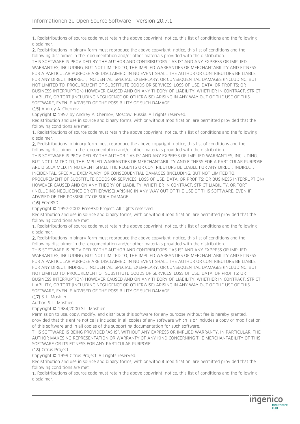1. Redistributions of source code must retain the above copyright notice, this list of conditions and the following disclaimer.

2. Redistributions in binary form must reproduce the above copyright notice, this list of conditions and the following disclaimer in the documentation and/or other materials provided with the distribution.

THIS SOFTWARE IS PROVIDED BY THE AUTHOR AND CONTRIBUTORS "AS IS" AND ANY EXPRESS OR IMPLIED WARRANTIES, INCLUDING, BUT NOT LIMITED TO, THE IMPLIED WARRANTIES OF MERCHANTABILITY AND FITNESS FOR A PARTICULAR PURPOSE ARE DISCLAIMED. IN NO EVENT SHALL THE AUTHOR OR CONTRIBUTORS BE LIABLE FOR ANY DIRECT, INDIRECT, INCIDENTAL, SPECIAL, EXEMPLARY, OR CONSEQUENTIAL DAMAGES (INCLUDING, BUT NOT LIMITED TO, PROCUREMENT OF SUBSTITUTE GOODS OR SERVICES; LOSS OF USE, DATA, OR PROFITS; OR BUSINESS INTERRUPTION) HOWEVER CAUSED AND ON ANY THEORY OF LIABILITY, WHETHER IN CONTRACT, STRICT LIABILITY, OR TORT (INCLUDING NEGLIGENCE OR OTHERWISE) ARISING IN ANY WAY OUT OF THE USE OF THIS SOFTWARE, EVEN IF ADVISED OF THE POSSIBILITY OF SUCH DAMAGE.

(15) Andrey A. Chernov

Copyright © 1997 by Andrey A. Chernov, Moscow, Russia. All rights reserved.

Redistribution and use in source and binary forms, with or without modification, are permitted provided that the following conditions are met:

1. Redistributions of source code must retain the above copyright notice, this list of conditions and the following disclaimer.

2. Redistributions in binary form must reproduce the above copyright notice, this list of conditions and the following disclaimer in the documentation and/or other materials provided with the distribution.

THIS SOFTWARE IS PROVIDED BY THE AUTHOR ``AS IS'' AND ANY EXPRESS OR IMPLIED WARRANTIES, INCLUDING, BUT NOT LIMITED TO, THE IMPLIED WARRANTIES OF MERCHANTABILITY AND FITNESS FOR A PARTICULAR PURPOSE ARE DISCLAIMED. IN NO EVENT SHALL THE REGENTS OR CONTRIBUTORS BE LIABLE FOR ANY DIRECT, INDIRECT, INCIDENTAL, SPECIAL, EXEMPLARY, OR CONSEQUENTIAL DAMAGES (INCLUDING, BUT NOT LIMITED TO, PROCUREMENT OF SUBSTITUTE GOODS OR SERVICES; LOSS OF USE, DATA, OR PROFITS; OR BUSINESS INTERRUPTION) HOWEVER CAUSED AND ON ANY THEORY OF LIABILITY, WHETHER IN CONTRACT, STRICT LIABILITY, OR TORT (INCLUDING NEGLIGENCE OR OTHERWISE) ARISING IN ANY WAY OUT OF THE USE OF THIS SOFTWARE, EVEN IF ADVISED OF THE POSSIBILITY OF SUCH DAMAGE.

#### (16) FreeBSD

Copyright © 1997-2002 FreeBSD Project. All rights reserved.

Redistribution and use in source and binary forms, with or without modification, are permitted provided that the following conditions are met:

1. Redistributions of source code must retain the above copyright notice, this list of conditions and the following disclaimer.

2. Redistributions in binary form must reproduce the above copyright notice, this list of conditions and the following disclaimer in the documentation and/or other materials provided with the distribution. THIS SOFTWARE IS PROVIDED BY THE AUTHOR AND CONTRIBUTORS ``AS IS'' AND ANY EXPRESS OR IMPLIED WARRANTIES, INCLUDING, BUT NOT LIMITED TO, THE IMPLIED WARRANTIES OF MERCHANTABILITY AND FITNESS FOR A PARTICULAR PURPOSE ARE DISCLAIMED. IN NO EVENT SHALL THE AUTHOR OR CONTRIBUTORS BE LIABLE FOR ANY DIRECT, INDIRECT, INCIDENTAL, SPECIAL, EXEMPLARY, OR CONSEQUENTIAL DAMAGES (INCLUDING, BUT NOT LIMITED TO, PROCUREMENT OF SUBSTITUTE GOODS OR SERVICES; LOSS OF USE, DATA, OR PROFITS; OR BUSINESS INTERRUPTION) HOWEVER CAUSED AND ON ANY THEORY OF LIABILITY, WHETHER IN CONTRACT, STRICT LIABILITY, OR TORT (INCLUDING NEGLIGENCE OR OTHERWISE) ARISING IN ANY WAY OUT OF THE USE OF THIS SOFTWARE, EVEN IF ADVISED OF THE POSSIBILITY OF SUCH DAMAGE.

#### (17) S. L. Moshier

Author: S. L. Moshier.

Copyright © 1984,2000 S.L. Moshier

Permission to use, copy, modify, and distribute this software for any purpose without fee is hereby granted, provided that this entire notice is included in all copies of any software which is or includes a copy or modification of this software and in all copies of the supporting documentation for such software.

THIS SOFTWARE IS BEING PROVIDED "AS IS", WITHOUT ANY EXPRESS OR IMPLIED WARRANTY. IN PARTICULAR, THE AUTHOR MAKES NO REPRESENTATION OR WARRANTY OF ANY KIND CONCERNING THE MERCHANTABILITY OF THIS SOFTWARE OR ITS FITNESS FOR ANY PARTICULAR PURPOSE.

#### (18) Citrus Project

Copyright © 1999 Citrus Project, All rights reserved.

Redistribution and use in source and binary forms, with or without modification, are permitted provided that the following conditions are met:

1. Redistributions of source code must retain the above copyright notice, this list of conditions and the following disclaimer.

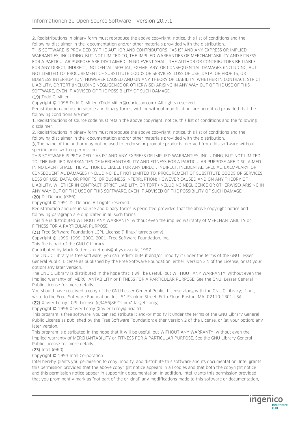2. Redistributions in binary form must reproduce the above copyright notice, this list of conditions and the following disclaimer in the documentation and/or other materials provided with the distribution. THIS SOFTWARE IS PROVIDED BY THE AUTHOR AND CONTRIBUTORS ``AS IS'' AND ANY EXPRESS OR IMPLIED WARRANTIES, INCLUDING, BUT NOT LIMITED TO, THE IMPLIED WARRANTIES OF MERCHANTABILITY AND FITNESS FOR A PARTICULAR PURPOSE ARE DISCLAIMED. IN NO EVENT SHALL THE AUTHOR OR CONTRIBUTORS BE LIABLE FOR ANY DIRECT, INDIRECT, INCIDENTAL, SPECIAL, EXEMPLARY, OR CONSEQUENTIAL DAMAGES (INCLUDING, BUT NOT LIMITED TO, PROCUREMENT OF SUBSTITUTE GOODS OR SERVICES; LOSS OF USE, DATA, OR PROFITS; OR BUSINESS INTERRUPTION) HOWEVER CAUSED AND ON ANY THEORY OF LIABILITY, WHETHER IN CONTRACT, STRICT LIABILITY, OR TORT (INCLUDING NEGLIGENCE OR OTHERWISE) ARISING IN ANY WAY OUT OF THE USE OF THIS SOFTWARE, EVEN IF ADVISED OF THE POSSIBILITY OF SUCH DAMAGE.

(19) Todd C. Miller

Copyright © 1998 Todd C. Miller <Todd.Miller@courtesan.com> All rights reserved.

Redistribution and use in source and binary forms, with or without modification, are permitted provided that the following conditions are met:

1. Redistributions of source code must retain the above copyright notice, this list of conditions and the following disclaimer.

2. Redistributions in binary form must reproduce the above copyright notice, this list of conditions and the following disclaimer in the documentation and/or other materials provided with the distribution.

3. The name of the author may not be used to endorse or promote products derived from this software without specific prior written permission.

THIS SOFTWARE IS PROVIDED ``AS IS'' AND ANY EXPRESS OR IMPLIED WARRANTIES, INCLUDING, BUT NOT LIMITED TO, THE IMPLIED WARRANTIES OF MERCHANTABILITY AND FITNESS FOR A PARTICULAR PURPOSE ARE DISCLAIMED. IN NO EVENT SHALL THE AUTHOR BE LIABLE FOR ANY DIRECT, INDIRECT, INCIDENTAL, SPECIAL, EXEMPLARY, OR CONSEQUENTIAL DAMAGES (INCLUDING, BUT NOT LIMITED TO, PROCUREMENT OF SUBSTITUTE GOODS OR SERVICES; LOSS OF USE, DATA, OR PROFITS; OR BUSINESS INTERRUPTION) HOWEVER CAUSED AND ON ANY THEORY OF LIABILITY, WHETHER IN CONTRACT, STRICT LIABILITY, OR TORT (INCLUDING NEGLIGENCE OR OTHERWISE) ARISING IN ANY WAY OUT OF THE USE OF THIS SOFTWARE, EVEN IF ADVISED OF THE POSSIBILITY OF SUCH DAMAGE.

#### (20) DJ Delorie (i386)

Copyright © 1991 DJ Delorie. All rights reserved.

Redistribution and use in source and binary forms is permitted provided that the above copyright notice and following paragraph are duplicated in all such forms.

This file is distributed WITHOUT ANY WARRANTY; without even the implied warranty of MERCHANTABILITY or FITNESS FOR A PARTICULAR PURPOSE.

(21) Free Software Foundation LGPL License (\*-linux\* targets only)

Copyright © 1990-1999, 2000, 2001 Free Software Foundation, Inc.

This file is part of the GNU C Library.

Contributed by Mark Kettenis <kettenis@phys.uva.nl>, 1997.

The GNU C Library is free software; you can redistribute it and/or modify it under the terms of the GNU Lesser General Public License as published by the Free Software Foundation; either version 2.1 of the License, or (at your option) any later version.

The GNU C Library is distributed in the hope that it will be useful, but WITHOUT ANY WARRANTY; without even the implied warranty of MERCHANTABILITY or FITNESS FOR A PARTICULAR PURPOSE. See the GNU Lesser General Public License for more details.

You should have received a copy of the GNU Lesser General Public License along with the GNU C Library; if not, write to the Free Software Foundation, Inc., 51 Franklin Street, Fifth Floor, Boston, MA 02110-1301 USA.

(22) Xavier Leroy LGPL License (i[3456]86-\*-linux\* targets only)

Copyright © 1996 Xavier Leroy (Xavier.Leroy@inria.fr)

This program is free software; you can redistribute it and/or modify it under the terms of the GNU Library General Public License as published by the Free Software Foundation; either version 2 of the License, or (at your option) any later version.

This program is distributed in the hope that it will be useful, but WITHOUT ANY WARRANTY; without even the implied warranty of MERCHANTABILITY or FITNESS FOR A PARTICULAR PURPOSE. See the GNU Library General Public License for more details.

#### (23) Intel (i960)

Copyright © 1993 Intel Corporation

Intel hereby grants you permission to copy, modify, and distribute this software and its documentation. Intel grants this permission provided that the above copyright notice appears in all copies and that both the copyright notice and this permission notice appear in supporting documentation. In addition, Intel grants this permission provided that you prominently mark as "not part of the original" any modifications made to this software or documentation,

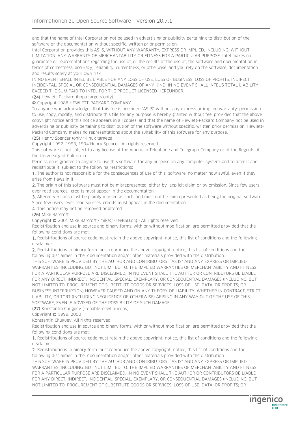and that the name of Intel Corporation not be used in advertising or publicity pertaining to distribution of the software or the documentation without specific, written prior permission.

Intel Corporation provides this AS IS, WITHOUT ANY WARRANTY, EXPRESS OR IMPLIED, INCLUDING, WITHOUT LIMITATION, ANY WARRANTY OF MERCHANTABILITY OR FITNESS FOR A PARTICULAR PURPOSE. Intel makes no guarantee or representations regarding the use of, or the results of the use of, the software and documentation in terms of correctness, accuracy, reliability, currentness, or otherwise; and you rely on the software, documentation and results solely at your own risk.

IN NO EVENT SHALL INTEL BE LIABLE FOR ANY LOSS OF USE, LOSS OF BUSINESS, LOSS OF PROFITS, INDIRECT, INCIDENTAL, SPECIAL OR CONSEQUENTIAL DAMAGES OF ANY KIND. IN NO EVENT SHALL INTEL'S TOTAL LIABILITY EXCEED THE SUM PAID TO INTEL FOR THE PRODUCT LICENSED HEREUNDER.

(24) Hewlett-Packard (hppa targets only)

© Copyright 1986 HEWLETT-PACKARD COMPANY

To anyone who acknowledges that this file is provided "AS IS" without any express or implied warranty: permission to use, copy, modify, and distribute this file for any purpose is hereby granted without fee, provided that the above copyright notice and this notice appears in all copies, and that the name of Hewlett-Packard Company not be used in advertising or publicity pertaining to distribution of the software without specific, written prior permission. Hewlett-Packard Company makes no representations about the suitability of this software for any purpose.

(25) Henry Spencer (only \*-linux targets)

Copyright 1992, 1993, 1994 Henry Spencer. All rights reserved.

This software is not subject to any license of the American Telephone and Telegraph Company or of the Regents of the University of California.

Permission is granted to anyone to use this software for any purpose on any computer system, and to alter it and redistribute it, subject to the following restrictions:

1. The author is not responsible for the consequences of use of this software, no matter how awful, even if they arise from flaws in it.

2. The origin of this software must not be misrepresented, either by explicit claim or by omission. Since few users ever read sources, credits must appear in the documentation.

3. Altered versions must be plainly marked as such, and must not be misrepresented as being the original software. Since few users ever read sources, credits must appear in the documentation.

4. This notice may not be removed or altered.

(26) Mike Barcroft

Copyright © 2001 Mike Barcroft <mike@FreeBSD.org> All rights reserved.

Redistribution and use in source and binary forms, with or without modification, are permitted provided that the following conditions are met:

1. Redistributions of source code must retain the above copyright notice, this list of conditions and the following disclaimer.

2. Redistributions in binary form must reproduce the above copyright notice, this list of conditions and the following disclaimer in the documentation and/or other materials provided with the distribution.

THIS SOFTWARE IS PROVIDED BY THE AUTHOR AND CONTRIBUTORS ``AS IS'' AND ANY EXPRESS OR IMPLIED WARRANTIES, INCLUDING, BUT NOT LIMITED TO, THE IMPLIED WARRANTIES OF MERCHANTABILITY AND FITNESS FOR A PARTICULAR PURPOSE ARE DISCLAIMED. IN NO EVENT SHALL THE AUTHOR OR CONTRIBUTORS BE LIABLE FOR ANY DIRECT, INDIRECT, INCIDENTAL, SPECIAL, EXEMPLARY, OR CONSEQUENTIAL DAMAGES (INCLUDING, BUT NOT LIMITED TO, PROCUREMENT OF SUBSTITUTE GOODS OR SERVICES; LOSS OF USE, DATA, OR PROFITS; OR BUSINESS INTERRUPTION) HOWEVER CAUSED AND ON ANY THEORY OF LIABILITY, WHETHER IN CONTRACT, STRICT LIABILITY, OR TORT (INCLUDING NEGLIGENCE OR OTHERWISE) ARISING IN ANY WAY OUT OF THE USE OF THIS SOFTWARE, EVEN IF ADVISED OF THE POSSIBILITY OF SUCH DAMAGE.

(27) Konstantin Chuguev (--enable-newlib-iconv)

Copyright © 1999, 2000

Konstantin Chuguev. All rights reserved.

Redistribution and use in source and binary forms, with or without modification, are permitted provided that the following conditions are met:

1. Redistributions of source code must retain the above copyright notice, this list of conditions and the following disclaimer.

2. Redistributions in binary form must reproduce the above copyright notice, this list of conditions and the following disclaimer in the documentation and/or other materials provided with the distribution.

THIS SOFTWARE IS PROVIDED BY THE AUTHOR AND CONTRIBUTORS ``AS IS'' AND ANY EXPRESS OR IMPLIED WARRANTIES, INCLUDING, BUT NOT LIMITED TO, THE IMPLIED WARRANTIES OF MERCHANTABILITY AND FITNESS FOR A PARTICULAR PURPOSE ARE DISCLAIMED. IN NO EVENT SHALL THE AUTHOR OR CONTRIBUTORS BE LIABLE FOR ANY DIRECT, INDIRECT, INCIDENTAL, SPECIAL, EXEMPLARY, OR CONSEQUENTIAL DAMAGES (INCLUDING, BUT NOT LIMITED TO, PROCUREMENT OF SUBSTITUTE GOODS OR SERVICES; LOSS OF USE, DATA, OR PROFITS; OR

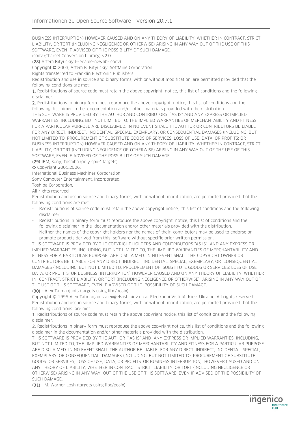BUSINESS INTERRUPTION) HOWEVER CAUSED AND ON ANY THEORY OF LIABILITY, WHETHER IN CONTRACT, STRICT LIABILITY, OR TORT (INCLUDING NEGLIGENCE OR OTHERWISE) ARISING IN ANY WAY OUT OF THE USE OF THIS SOFTWARE, EVEN IF ADVISED OF THE POSSIBILITY OF SUCH DAMAGE.

iconv (Charset Conversion Library) v2.0

(28) Artem Bityuckiy (--enable-newlib-iconv)

Copyright © 2003, Artem B. Bityuckiy, SoftMine Corporation.

Rights transferred to Franklin Electronic Publishers.

Redistribution and use in source and binary forms, with or without modification, are permitted provided that the following conditions are met:

1. Redistributions of source code must retain the above copyright notice, this list of conditions and the following disclaimer.

2. Redistributions in binary form must reproduce the above copyright notice, this list of conditions and the following disclaimer in the documentation and/or other materials provided with the distribution.

THIS SOFTWARE IS PROVIDED BY THE AUTHOR AND CONTRIBUTORS ``AS IS'' AND ANY EXPRESS OR IMPLIED WARRANTIES, INCLUDING, BUT NOT LIMITED TO, THE IMPLIED WARRANTIES OF MERCHANTABILITY AND FITNESS FOR A PARTICULAR PURPOSE ARE DISCLAIMED. IN NO EVENT SHALL THE AUTHOR OR CONTRIBUTORS BE LIABLE FOR ANY DIRECT, INDIRECT, INCIDENTAL, SPECIAL, EXEMPLARY, OR CONSEQUENTIAL DAMAGES (INCLUDING, BUT NOT LIMITED TO, PROCUREMENT OF SUBSTITUTE GOODS OR SERVICES; LOSS OF USE, DATA, OR PROFITS; OR BUSINESS INTERRUPTION) HOWEVER CAUSED AND ON ANY THEORY OF LIABILITY, WHETHER IN CONTRACT, STRICT LIABILITY, OR TORT (INCLUDING NEGLIGENCE OR OTHERWISE) ARISING IN ANY WAY OUT OF THE USE OF THIS SOFTWARE, EVEN IF ADVISED OF THE POSSIBILITY OF SUCH DAMAGE.

(29) IBM, Sony, Toshiba (only spu-\* targets)

© Copyright 2001,2006,

International Business Machines Corporation,

Sony Computer Entertainment, Incorporated,

Toshiba Corporation,

All rights reserved.

Redistribution and use in source and binary forms, with or without modification, are permitted provided that the following conditions are met:

- Redistributions of source code must retain the above copyright notice, this list of conditions and the following disclaimer.
- Redistributions in binary form must reproduce the above copyright notice, this list of conditions and the following disclaimer in the documentation and/or other materials provided with the distribution.
- Neither the names of the copyright holders nor the names of their contributors may be used to endorse or promote products derived from this software without specific prior written permission.

THIS SOFTWARE IS PROVIDED BY THE COPYRIGHT HOLDERS AND CONTRIBUTORS "AS IS" AND ANY EXPRESS OR IMPLIED WARRANTIES, INCLUDING, BUT NOT LIMITED TO, THE IMPLIED WARRANTIES OF MERCHANTABILITY AND FITNESS FOR A PARTICULAR PURPOSE ARE DISCLAIMED. IN NO EVENT SHALL THE COPYRIGHT OWNER OR CONTRIBUTORS BE LIABLE FOR ANY DIRECT, INDIRECT, INCIDENTAL, SPECIAL, EXEMPLARY, OR CONSEQUENTIAL DAMAGES (INCLUDING, BUT NOT LIMITED TO, PROCUREMENT OF SUBSTITUTE GOODS OR SERVICES; LOSS OF USE, DATA, OR PROFITS; OR BUSINESS INTERRUPTION) HOWEVER CAUSED AND ON ANY THEORY OF LIABILITY, WHETHER IN CONTRACT, STRICT LIABILITY, OR TORT (INCLUDING NEGLIGENCE OR OTHERWISE) ARISING IN ANY WAY OUT OF THE USE OF THIS SOFTWARE, EVEN IF ADVISED OF THE POSSIBILITY OF SUCH DAMAGE.

(30) - Alex Tatmanjants (targets using libc/posix)

Copyright © 1995 Alex Tatmanjants alex@elvisti.kiev.ua at Electronni Visti IA, Kiev, Ukraine. All rights reserved. Redistribution and use in source and binary forms, with or without modification, are permitted provided that the following conditions are met:

1. Redistributions of source code must retain the above copyright notice, this list of conditions and the following disclaimer.

2. Redistributions in binary form must reproduce the above copyright notice, this list of conditions and the following disclaimer in the documentation and/or other materials provided with the distribution.

THIS SOFTWARE IS PROVIDED BY THE AUTHOR ``AS IS'' AND ANY EXPRESS OR IMPLIED WARRANTIES, INCLUDING, BUT NOT LIMITED TO, THE IMPLIED WARRANTIES OF MERCHANTABILITY AND FITNESS FOR A PARTICULAR PURPOSE ARE DISCLAIMED. IN NO EVENT SHALL THE AUTHOR BE LIABLE FOR ANY DIRECT, INDIRECT, INCIDENTAL, SPECIAL, EXEMPLARY, OR CONSEQUENTIAL DAMAGES (INCLUDING, BUT NOT LIMITED TO, PROCUREMENT OF SUBSTITUTE GOODS OR SERVICES; LOSS OF USE, DATA, OR PROFITS; OR BUSINESS INTERRUPTION) HOWEVER CAUSED AND ON ANY THEORY OF LIABILITY, WHETHER IN CONTRACT, STRICT LIABILITY, OR TORT (INCLUDING NEGLIGENCE OR OTHERWISE) ARISING IN ANY WAY OUT OF THE USE OF THIS SOFTWARE, EVEN IF ADVISED OF THE POSSIBILITY OF SUCH DAMAGE.

(31) - M. Warner Losh (targets using libc/posix)

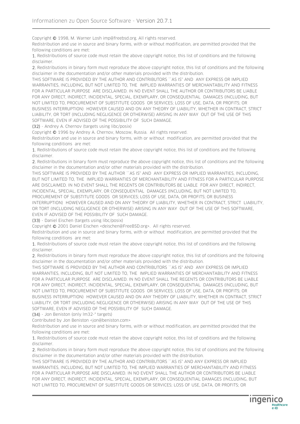Copyright © 1998, M. Warner Losh imp@freebsd.org. All rights reserved.

Redistribution and use in source and binary forms, with or without modification, are permitted provided that the following conditions are met:

1. Redistributions of source code must retain the above copyright notice, this list of conditions and the following disclaimer.

2. Redistributions in binary form must reproduce the above copyright notice, this list of conditions and the following disclaimer in the documentation and/or other materials provided with the distribution.

THIS SOFTWARE IS PROVIDED BY THE AUTHOR AND CONTRIBUTORS ``AS IS'' AND ANY EXPRESS OR IMPLIED WARRANTIES, INCLUDING, BUT NOT LIMITED TO, THE IMPLIED WARRANTIES OF MERCHANTABILITY AND FITNESS FOR A PARTICULAR PURPOSE ARE DISCLAIMED. IN NO EVENT SHALL THE AUTHOR OR CONTRIBUTORS BE LIABLE FOR ANY DIRECT, INDIRECT, INCIDENTAL, SPECIAL, EXEMPLARY, OR CONSEQUENTIAL DAMAGES (INCLUDING, BUT NOT LIMITED TO, PROCUREMENT OF SUBSTITUTE GOODS OR SERVICES; LOSS OF USE, DATA, OR PROFITS; OR BUSINESS INTERRUPTION) HOWEVER CAUSED AND ON ANY THEORY OF LIABILITY, WHETHER IN CONTRACT, STRICT LIABILITY, OR TORT (INCLUDING NEGLIGENCE OR OTHERWISE) ARISING IN ANY WAY OUT OF THE USE OF THIS SOFTWARE, EVEN IF ADVISED OF THE POSSIBILITY OF SUCH DAMAGE.

(32) - Andrey A. Chernov (targets using libc/posix)

Copyright © 1996 by Andrey A. Chernov, Moscow, Russia. All rights reserved.

Redistribution and use in source and binary forms, with or without modification, are permitted provided that the following conditions are met:

1. Redistributions of source code must retain the above copyright notice, this list of conditions and the following disclaimer.

2. Redistributions in binary form must reproduce the above copyright notice, this list of conditions and the following disclaimer in the documentation and/or other materials provided with the distribution.

THIS SOFTWARE IS PROVIDED BY THE AUTHOR "AS IS" AND ANY EXPRESS OR IMPLIED WARRANTIES, INCLUDING, BUT NOT LIMITED TO, THE IMPLIED WARRANTIES OF MERCHANTABILITY AND FITNESS FOR A PARTICULAR PURPOSE ARE DISCLAIMED. IN NO EVENT SHALL THE REGENTS OR CONTRIBUTORS BE LIABLE FOR ANY DIRECT, INDIRECT, INCIDENTAL, SPECIAL, EXEMPLARY, OR CONSEQUENTIAL DAMAGES (INCLUDING, BUT NOT LIMITED TO, PROCUREMENT OF SUBSTITUTE GOODS OR SERVICES; LOSS OF USE, DATA, OR PROFITS; OR BUSINESS INTERRUPTION) HOWEVER CAUSED AND ON ANY THEORY OF LIABILITY, WHETHER IN CONTRACT, STRICT LIABILITY, OR TORT (INCLUDING NEGLIGENCE OR OTHERWISE) ARISING IN ANY WAY OUT OF THE USE OF THIS SOFTWARE,

EVEN IF ADVISED OF THE POSSIBILITY OF SUCH DAMAGE.

(33) - Daniel Eischen (targets using libc/posix)

Copyright © 2001 Daniel Eischen <deischen@FreeBSD.org>. All rights reserved.

Redistribution and use in source and binary forms, with or without modification, are permitted provided that the following conditions are met:

1. Redistributions of source code must retain the above copyright notice, this list of conditions and the following disclaimer.

2. Redistributions in binary form must reproduce the above copyright notice, this list of conditions and the following disclaimer in the documentation and/or other materials provided with the distribution.

THIS SOFTWARE IS PROVIDED BY THE AUTHOR AND CONTRIBUTORS ``AS IS'' AND ANY EXPRESS OR IMPLIED WARRANTIES, INCLUDING, BUT NOT LIMITED TO, THE IMPLIED WARRANTIES OF MERCHANTABILITY AND FITNESS FOR A PARTICULAR PURPOSE ARE DISCLAIMED. IN NO EVENT SHALL THE REGENTS OR CONTRIBUTORS BE LIABLE FOR ANY DIRECT, INDIRECT, INCIDENTAL, SPECIAL, EXEMPLARY, OR CONSEQUENTIAL DAMAGES (INCLUDING, BUT NOT LIMITED TO, PROCUREMENT OF SUBSTITUTE GOODS OR SERVICES; LOSS OF USE, DATA, OR PROFITS; OR BUSINESS INTERRUPTION) HOWEVER CAUSED AND ON ANY THEORY OF LIABILITY, WHETHER IN CONTRACT, STRICT LIABILITY, OR TORT (INCLUDING NEGLIGENCE OR OTHERWISE) ARISING IN ANY WAY OUT OF THE USE OF THIS SOFTWARE, EVEN IF ADVISED OF THE POSSIBILITY OF SUCH DAMAGE.

(34) - Jon Beniston (only lm32-\* targets)

Contributed by Jon Beniston <jon@beniston.com>

Redistribution and use in source and binary forms, with or without modification, are permitted provided that the following conditions are met:

1. Redistributions of source code must retain the above copyright notice, this list of conditions and the following disclaimer.

2. Redistributions in binary form must reproduce the above copyright notice, this list of conditions and the following disclaimer in the documentation and/or other materials provided with the distribution.

THIS SOFTWARE IS PROVIDED BY THE AUTHOR AND CONTRIBUTORS ``AS IS'' AND ANY EXPRESS OR IMPLIED WARRANTIES, INCLUDING, BUT NOT LIMITED TO, THE IMPLIED WARRANTIES OF MERCHANTABILITY AND FITNESS FOR A PARTICULAR PURPOSE ARE DISCLAIMED. IN NO EVENT SHALL THE AUTHOR OR CONTRIBUTORS BE LIABLE FOR ANY DIRECT, INDIRECT, INCIDENTAL, SPECIAL, EXEMPLARY, OR CONSEQUENTIAL DAMAGES (INCLUDING, BUT NOT LIMITED TO, PROCUREMENT OF SUBSTITUTE GOODS OR SERVICES; LOSS OF USE, DATA, OR PROFITS; OR

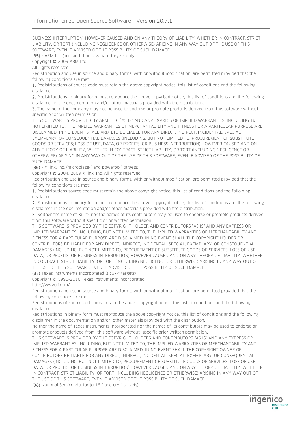BUSINESS INTERRUPTION) HOWEVER CAUSED AND ON ANY THEORY OF LIABILITY, WHETHER IN CONTRACT, STRICT LIABILITY, OR TORT (INCLUDING NEGLIGENCE OR OTHERWISE) ARISING IN ANY WAY OUT OF THE USE OF THIS SOFTWARE, EVEN IF ADVISED OF THE POSSIBILITY OF SUCH DAMAGE.

(35) - ARM Ltd (arm and thumb variant targets only)

Copyright © 2009 ARM Ltd

All rights reserved.

Redistribution and use in source and binary forms, with or without modification, are permitted provided that the following conditions are met:

1. Redistributions of source code must retain the above copyright notice, this list of conditions and the following disclaimer.

2. Redistributions in binary form must reproduce the above copyright notice, this list of conditions and the following disclaimer in the documentation and/or other materials provided with the distribution.

3. The name of the company may not be used to endorse or promote products derived from this software without specific prior written permission.

THIS SOFTWARE IS PROVIDED BY ARM LTD ``AS IS'' AND ANY EXPRESS OR IMPLIED WARRANTIES, INCLUDING, BUT NOT LIMITED TO, THE IMPLIED WARRANTIES OF MERCHANTABILITY AND FITNESS FOR A PARTICULAR PURPOSE ARE DISCLAIMED. IN NO EVENT SHALL ARM LTD BE LIABLE FOR ANY DIRECT, INDIRECT, INCIDENTAL, SPECIAL, EXEMPLARY, OR CONSEQUENTIAL DAMAGES (INCLUDING, BUT NOT LIMITED TO, PROCUREMENT OF SUBSTITUTE GOODS OR SERVICES; LOSS OF USE, DATA, OR PROFITS; OR BUSINESS INTERRUPTION) HOWEVER CAUSED AND ON ANY THEORY OF LIABILITY, WHETHER IN CONTRACT, STRICT LIABILITY, OR TORT (INCLUDING NEGLIGENCE OR OTHERWISE) ARISING IN ANY WAY OUT OF THE USE OF THIS SOFTWARE, EVEN IF ADVISED OF THE POSSIBILITY OF SUCH DAMAGE.

(36) - Xilinx, Inc. (microblaze-\* and powerpc-\* targets)

Copyright © 2004, 2009 Xilinx, Inc. All rights reserved.

Redistribution and use in source and binary forms, with or without modification, are permitted provided that the following conditions are met:

1. Redistributions source code must retain the above copyright notice, this list of conditions and the following disclaimer.

2. Redistributions in binary form must reproduce the above copyright notice, this list of conditions and the following disclaimer in the documentation and/or other materials provided with the distribution.

3. Neither the name of Xilinx nor the names of its contributors may be used to endorse or promote products derived from this software without specific prior written permission.

THIS SOFTWARE IS PROVIDED BY THE COPYRIGHT HOLDER AND CONTRIBUTORS "AS IS" AND ANY EXPRESS OR IMPLIED WARRANTIES, INCLUDING, BUT NOT LIMITED TO, THE IMPLIED WARRANTIES OF MERCHANTABILITY AND FITNESS FOR A PARTICULAR PURPOSE ARE DISCLAIMED. IN NO EVENT SHALL THE COPYRIGHT HOLDER OR CONTRIBUTORS BE LIABLE FOR ANY DIRECT, INDIRECT, INCIDENTAL, SPECIAL, EXEMPLARY, OR CONSEQUENTIAL DAMAGES (INCLUDING, BUT NOT LIMITED TO, PROCUREMENT OF SUBSTITUTE GOODS OR SERVICES; LOSS OF USE, DATA, OR PROFITS; OR BUSINESS INTERRUPTION) HOWEVER CAUSED AND ON ANY THEORY OF LIABILITY, WHETHER IN CONTRACT, STRICT LIABILITY, OR TORT (INCLUDING NEGLIGENCE OR OTHERWISE) ARISING IN ANY WAY OUT OF THE USE OF THIS SOFTWARE, EVEN IF ADVISED OF THE POSSIBILITY OF SUCH DAMAGE.

(37) Texas Instruments Incorporated (tic6x-\* targets)

Copyright © 1996-2010 Texas Instruments Incorporated

http://www.ti.com/

Redistribution and use in source and binary forms, with or without modification, are permitted provided that the following conditions are met:

Redistributions of source code must retain the above copyright notice, this list of conditions and the following disclaimer.

Redistributions in binary form must reproduce the above copyright notice, this list of conditions and the following disclaimer in the documentation and/or other materials provided with the distribution.

Neither the name of Texas Instruments Incorporated nor the names of its contributors may be used to endorse or promote products derived from this software without specific prior written permission.

THIS SOFTWARE IS PROVIDED BY THE COPYRIGHT HOLDERS AND CONTRIBUTORS "AS IS" AND ANY EXPRESS OR IMPLIED WARRANTIES, INCLUDING, BUT NOT LIMITED TO, THE IMPLIED WARRANTIES OF MERCHANTABILITY AND FITNESS FOR A PARTICULAR PURPOSE ARE DISCLAIMED. IN NO EVENT SHALL THE COPYRIGHT OWNER OR CONTRIBUTORS BE LIABLE FOR ANY DIRECT, INDIRECT, INCIDENTAL, SPECIAL, EXEMPLARY, OR CONSEQUENTIAL DAMAGES (INCLUDING, BUT NOT LIMITED TO, PROCUREMENT OF SUBSTITUTE GOODS OR SERVICES; LOSS OF USE, DATA, OR PROFITS; OR BUSINESS INTERRUPTION) HOWEVER CAUSED AND ON ANY THEORY OF LIABILITY, WHETHER IN CONTRACT, STRICT LIABILITY, OR TORT (INCLUDING NEGLIGENCE OR OTHERWISE) ARISING IN ANY WAY OUT OF THE USE OF THIS SOFTWARE, EVEN IF ADVISED OF THE POSSIBILITY OF SUCH DAMAGE.

(38) National Semiconductor (cr16-\* and crx-\* targets)

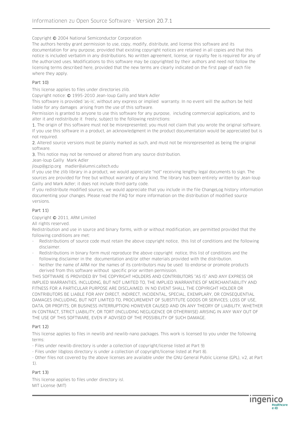Copyright © 2004 National Semiconductor Corporation

The authors hereby grant permission to use, copy, modify, distribute, and license this software and its documentation for any purpose, provided that existing copyright notices are retained in all copies and that this notice is included verbatim in any distributions. No written agreement, license, or royalty fee is required for any of the authorized uses. Modifications to this software may be copyrighted by their authors and need not follow the licensing terms described here, provided that the new terms are clearly indicated on the first page of each file where they apply.

#### Part 10)

This license applies to files under directories zlib.

Copyright notice: © 1995-2010 Jean-loup Gailly and Mark Adler

This software is provided 'as-is', without any express or implied warranty. In no event will the authors be held liable for any damages arising from the use of this software.

Permission is granted to anyone to use this software for any purpose, including commercial applications, and to alter it and redistribute it freely, subject to the following restrictions:

1. The origin of this software must not be misrepresented; you must not claim that you wrote the original software. If you use this software in a product, an acknowledgment in the product documentation would be appreciated but is not required.

2. Altered source versions must be plainly marked as such, and must not be misrepresented as being the original software.

3. This notice may not be removed or altered from any source distribution.

Jean-loup Gailly Mark Adler

jloup@gzip.org madler@alumni.caltech.edu

If you use the zlib library in a product, we would appreciate \*not\* receiving lengthy legal documents to sign. The sources are provided for free but without warranty of any kind. The library has been entirely written by Jean-loup Gailly and Mark Adler; it does not include third-party code.

If you redistribute modified sources, we would appreciate that you include in the file ChangeLog history information documenting your changes. Please read the FAQ for more information on the distribution of modified source versions.

# Part 11)

Copyright © 2011, ARM Limited

All rights reserved.

Redistribution and use in source and binary forms, with or without modification, are permitted provided that the following conditions are met:

- Redistributions of source code must retain the above copyright notice, this list of conditions and the following disclaimer.
- Redistributions in binary form must reproduce the above copyright notice, this list of conditions and the following disclaimer in the documentation and/or other materials provided with the distribution.
- Neither the name of ARM nor the names of its contributors may be used to endorse or promote products derived from this software without specific prior written permission.

THIS SOFTWARE IS PROVIDED BY THE COPYRIGHT HOLDERS AND CONTRIBUTORS "AS IS" AND ANY EXPRESS OR IMPLIED WARRANTIES, INCLUDING, BUT NOT LIMITED TO, THE IMPLIED WARRANTIES OF MERCHANTABILITY AND FITNESS FOR A PARTICULAR PURPOSE ARE DISCLAIMED. IN NO EVENT SHALL THE COPYRIGHT HOLDER OR CONTRIBUTORS BE LIABLE FOR ANY DIRECT, INDIRECT, INCIDENTAL, SPECIAL, EXEMPLARY, OR CONSEQUENTIAL DAMAGES (INCLUDING, BUT NOT LIMITED TO, PROCUREMENT OF SUBSTITUTE GOODS OR SERVICES; LOSS OF USE, DATA, OR PROFITS; OR BUSINESS INTERRUPTION) HOWEVER CAUSED AND ON ANY THEORY OF LIABILITY, WHETHER IN CONTRACT, STRICT LIABILITY, OR TORT (INCLUDING NEGLIGENCE OR OTHERWISE) ARISING IN ANY WAY OUT OF THE USE OF THIS SOFTWARE, EVEN IF ADVISED OF THE POSSIBILITY OF SUCH DAMAGE.

# Part 12)

This license applies to files in newlib and newlib-nano packages. This work is licensed to you under the following terms:

- Files under newlib directory is under a collection of copyright/license listed at Part 9)

- Files under libgloss directory is under a collection of copyright/license listed at Part 8).

- Other files not covered by the above licenses are available under the GNU General Public License (GPL), v2, at Part 1).

# Part 13)

This license applies to files under directory isl. MIT License (MIT)

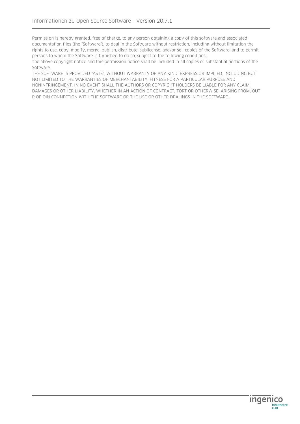Permission is hereby granted, free of charge, to any person obtaining a copy of this software and associated documentation files (the "Software"), to deal in the Software without restriction, including without limitation the rights to use, copy, modify, merge, publish, distribute, sublicense, and/or sell copies of the Software, and to permit persons to whom the Software is furnished to do so, subject to the following conditions:

The above copyright notice and this permission notice shall be included in all copies or substantial portions of the Software.

THE SOFTWARE IS PROVIDED "AS IS", WITHOUT WARRANTY OF ANY KIND, EXPRESS OR IMPLIED, INCLUDING BUT NOT LIMITED TO THE WARRANTIES OF MERCHANTABILITY, FITNESS FOR A PARTICULAR PURPOSE AND NONINFRINGEMENT. IN NO EVENT SHALL THE AUTHORS OR COPYRIGHT HOLDERS BE LIABLE FOR ANY CLAIM, DAMAGES OR OTHER LIABILITY, WHETHER IN AN ACTION OF CONTRACT, TORT OR OTHERWISE, ARISING FROM, OUT R OF OIN CONNECTION WITH THE SOFTWARE OR THE USE OR OTHER DEALINGS IN THE SOFTWARE.